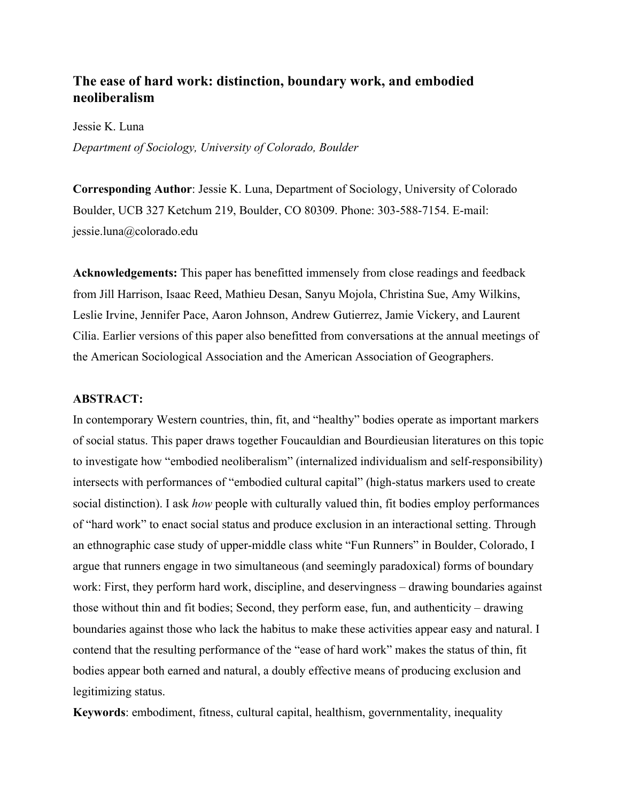# **The ease of hard work: distinction, boundary work, and embodied neoliberalism**

Jessie K. Luna

*Department of Sociology, University of Colorado, Boulder*

**Corresponding Author**: Jessie K. Luna, Department of Sociology, University of Colorado Boulder, UCB 327 Ketchum 219, Boulder, CO 80309. Phone: 303-588-7154. E-mail: jessie.luna@colorado.edu

**Acknowledgements:** This paper has benefitted immensely from close readings and feedback from Jill Harrison, Isaac Reed, Mathieu Desan, Sanyu Mojola, Christina Sue, Amy Wilkins, Leslie Irvine, Jennifer Pace, Aaron Johnson, Andrew Gutierrez, Jamie Vickery, and Laurent Cilia. Earlier versions of this paper also benefitted from conversations at the annual meetings of the American Sociological Association and the American Association of Geographers.

## **ABSTRACT:**

In contemporary Western countries, thin, fit, and "healthy" bodies operate as important markers of social status. This paper draws together Foucauldian and Bourdieusian literatures on this topic to investigate how "embodied neoliberalism" (internalized individualism and self-responsibility) intersects with performances of "embodied cultural capital" (high-status markers used to create social distinction). I ask *how* people with culturally valued thin, fit bodies employ performances of "hard work" to enact social status and produce exclusion in an interactional setting. Through an ethnographic case study of upper-middle class white "Fun Runners" in Boulder, Colorado, I argue that runners engage in two simultaneous (and seemingly paradoxical) forms of boundary work: First, they perform hard work, discipline, and deservingness – drawing boundaries against those without thin and fit bodies; Second, they perform ease, fun, and authenticity – drawing boundaries against those who lack the habitus to make these activities appear easy and natural. I contend that the resulting performance of the "ease of hard work" makes the status of thin, fit bodies appear both earned and natural, a doubly effective means of producing exclusion and legitimizing status.

**Keywords**: embodiment, fitness, cultural capital, healthism, governmentality, inequality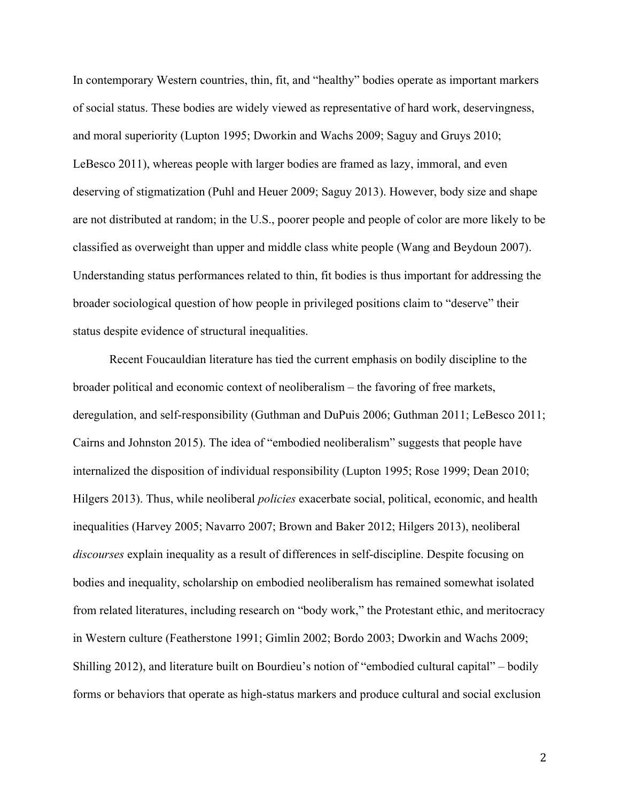In contemporary Western countries, thin, fit, and "healthy" bodies operate as important markers of social status. These bodies are widely viewed as representative of hard work, deservingness, and moral superiority (Lupton 1995; Dworkin and Wachs 2009; Saguy and Gruys 2010; LeBesco 2011), whereas people with larger bodies are framed as lazy, immoral, and even deserving of stigmatization (Puhl and Heuer 2009; Saguy 2013). However, body size and shape are not distributed at random; in the U.S., poorer people and people of color are more likely to be classified as overweight than upper and middle class white people (Wang and Beydoun 2007). Understanding status performances related to thin, fit bodies is thus important for addressing the broader sociological question of how people in privileged positions claim to "deserve" their status despite evidence of structural inequalities.

Recent Foucauldian literature has tied the current emphasis on bodily discipline to the broader political and economic context of neoliberalism – the favoring of free markets, deregulation, and self-responsibility (Guthman and DuPuis 2006; Guthman 2011; LeBesco 2011; Cairns and Johnston 2015). The idea of "embodied neoliberalism" suggests that people have internalized the disposition of individual responsibility (Lupton 1995; Rose 1999; Dean 2010; Hilgers 2013). Thus, while neoliberal *policies* exacerbate social, political, economic, and health inequalities (Harvey 2005; Navarro 2007; Brown and Baker 2012; Hilgers 2013), neoliberal *discourses* explain inequality as a result of differences in self-discipline. Despite focusing on bodies and inequality, scholarship on embodied neoliberalism has remained somewhat isolated from related literatures, including research on "body work," the Protestant ethic, and meritocracy in Western culture (Featherstone 1991; Gimlin 2002; Bordo 2003; Dworkin and Wachs 2009; Shilling 2012), and literature built on Bourdieu's notion of "embodied cultural capital" – bodily forms or behaviors that operate as high-status markers and produce cultural and social exclusion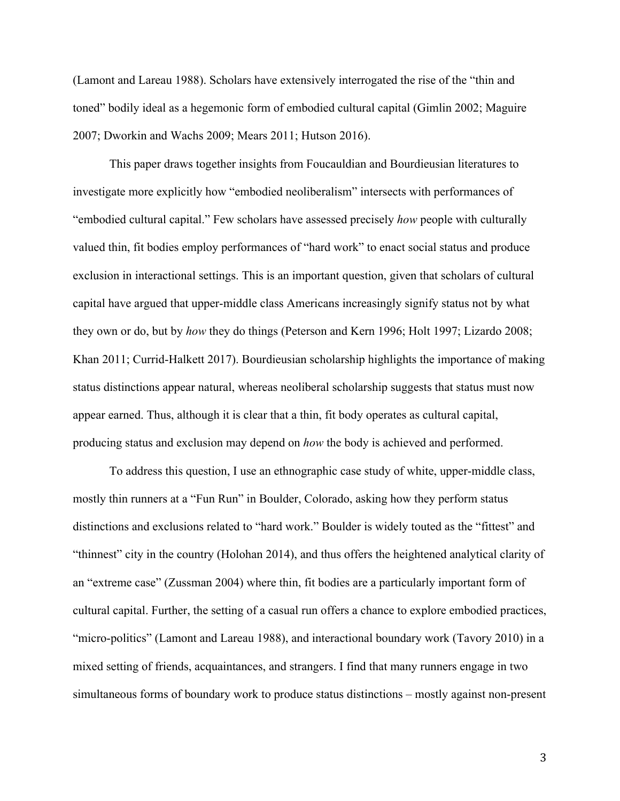(Lamont and Lareau 1988). Scholars have extensively interrogated the rise of the "thin and toned" bodily ideal as a hegemonic form of embodied cultural capital (Gimlin 2002; Maguire 2007; Dworkin and Wachs 2009; Mears 2011; Hutson 2016).

This paper draws together insights from Foucauldian and Bourdieusian literatures to investigate more explicitly how "embodied neoliberalism" intersects with performances of "embodied cultural capital." Few scholars have assessed precisely *how* people with culturally valued thin, fit bodies employ performances of "hard work" to enact social status and produce exclusion in interactional settings. This is an important question, given that scholars of cultural capital have argued that upper-middle class Americans increasingly signify status not by what they own or do, but by *how* they do things (Peterson and Kern 1996; Holt 1997; Lizardo 2008; Khan 2011; Currid-Halkett 2017). Bourdieusian scholarship highlights the importance of making status distinctions appear natural, whereas neoliberal scholarship suggests that status must now appear earned. Thus, although it is clear that a thin, fit body operates as cultural capital, producing status and exclusion may depend on *how* the body is achieved and performed.

To address this question, I use an ethnographic case study of white, upper-middle class, mostly thin runners at a "Fun Run" in Boulder, Colorado, asking how they perform status distinctions and exclusions related to "hard work." Boulder is widely touted as the "fittest" and "thinnest" city in the country (Holohan 2014), and thus offers the heightened analytical clarity of an "extreme case" (Zussman 2004) where thin, fit bodies are a particularly important form of cultural capital. Further, the setting of a casual run offers a chance to explore embodied practices, "micro-politics" (Lamont and Lareau 1988), and interactional boundary work (Tavory 2010) in a mixed setting of friends, acquaintances, and strangers. I find that many runners engage in two simultaneous forms of boundary work to produce status distinctions – mostly against non-present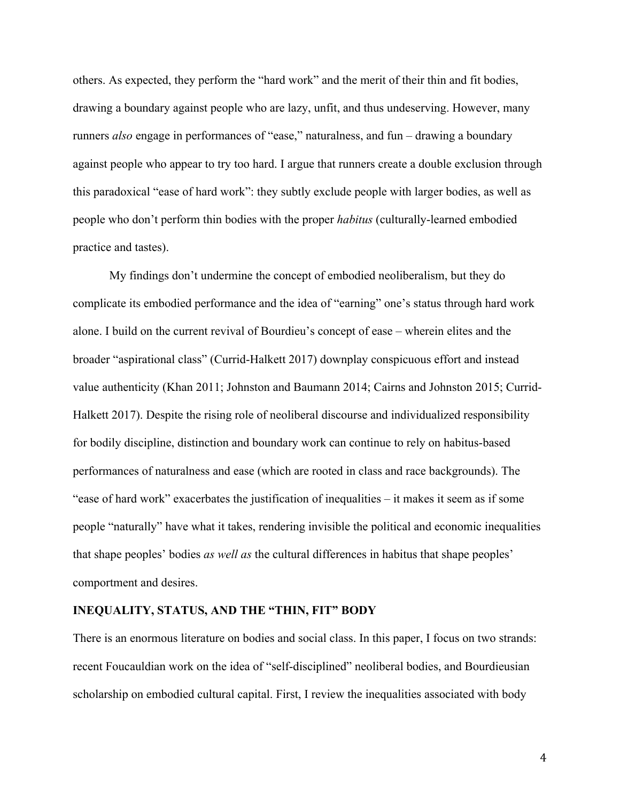others. As expected, they perform the "hard work" and the merit of their thin and fit bodies, drawing a boundary against people who are lazy, unfit, and thus undeserving. However, many runners *also* engage in performances of "ease," naturalness, and fun – drawing a boundary against people who appear to try too hard. I argue that runners create a double exclusion through this paradoxical "ease of hard work": they subtly exclude people with larger bodies, as well as people who don't perform thin bodies with the proper *habitus* (culturally-learned embodied practice and tastes).

My findings don't undermine the concept of embodied neoliberalism, but they do complicate its embodied performance and the idea of "earning" one's status through hard work alone. I build on the current revival of Bourdieu's concept of ease – wherein elites and the broader "aspirational class" (Currid-Halkett 2017) downplay conspicuous effort and instead value authenticity (Khan 2011; Johnston and Baumann 2014; Cairns and Johnston 2015; Currid-Halkett 2017). Despite the rising role of neoliberal discourse and individualized responsibility for bodily discipline, distinction and boundary work can continue to rely on habitus-based performances of naturalness and ease (which are rooted in class and race backgrounds). The "ease of hard work" exacerbates the justification of inequalities – it makes it seem as if some people "naturally" have what it takes, rendering invisible the political and economic inequalities that shape peoples' bodies *as well as* the cultural differences in habitus that shape peoples' comportment and desires.

## **INEQUALITY, STATUS, AND THE "THIN, FIT" BODY**

There is an enormous literature on bodies and social class. In this paper, I focus on two strands: recent Foucauldian work on the idea of "self-disciplined" neoliberal bodies, and Bourdieusian scholarship on embodied cultural capital. First, I review the inequalities associated with body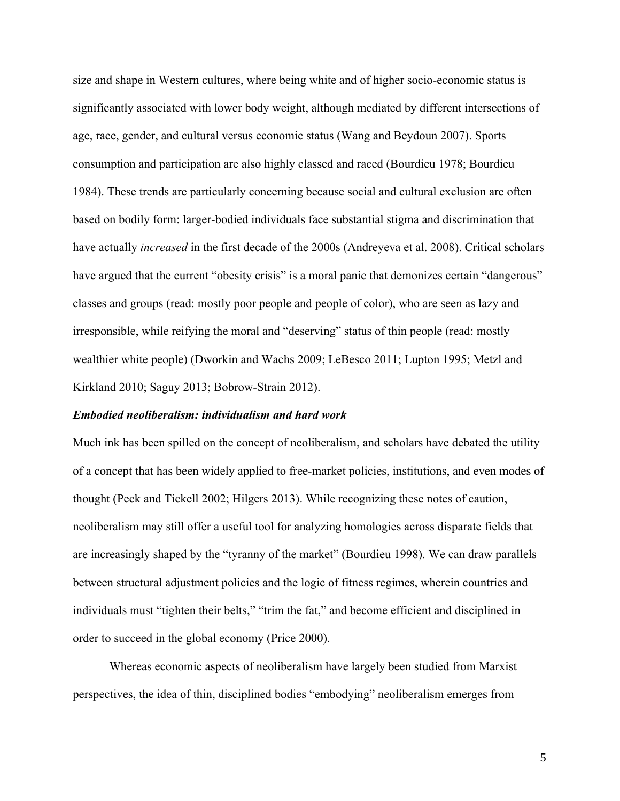size and shape in Western cultures, where being white and of higher socio-economic status is significantly associated with lower body weight, although mediated by different intersections of age, race, gender, and cultural versus economic status (Wang and Beydoun 2007). Sports consumption and participation are also highly classed and raced (Bourdieu 1978; Bourdieu 1984). These trends are particularly concerning because social and cultural exclusion are often based on bodily form: larger-bodied individuals face substantial stigma and discrimination that have actually *increased* in the first decade of the 2000s (Andreyeva et al. 2008). Critical scholars have argued that the current "obesity crisis" is a moral panic that demonizes certain "dangerous" classes and groups (read: mostly poor people and people of color), who are seen as lazy and irresponsible, while reifying the moral and "deserving" status of thin people (read: mostly wealthier white people) (Dworkin and Wachs 2009; LeBesco 2011; Lupton 1995; Metzl and Kirkland 2010; Saguy 2013; Bobrow-Strain 2012).

#### *Embodied neoliberalism: individualism and hard work*

Much ink has been spilled on the concept of neoliberalism, and scholars have debated the utility of a concept that has been widely applied to free-market policies, institutions, and even modes of thought (Peck and Tickell 2002; Hilgers 2013). While recognizing these notes of caution, neoliberalism may still offer a useful tool for analyzing homologies across disparate fields that are increasingly shaped by the "tyranny of the market" (Bourdieu 1998). We can draw parallels between structural adjustment policies and the logic of fitness regimes, wherein countries and individuals must "tighten their belts," "trim the fat," and become efficient and disciplined in order to succeed in the global economy (Price 2000).

Whereas economic aspects of neoliberalism have largely been studied from Marxist perspectives, the idea of thin, disciplined bodies "embodying" neoliberalism emerges from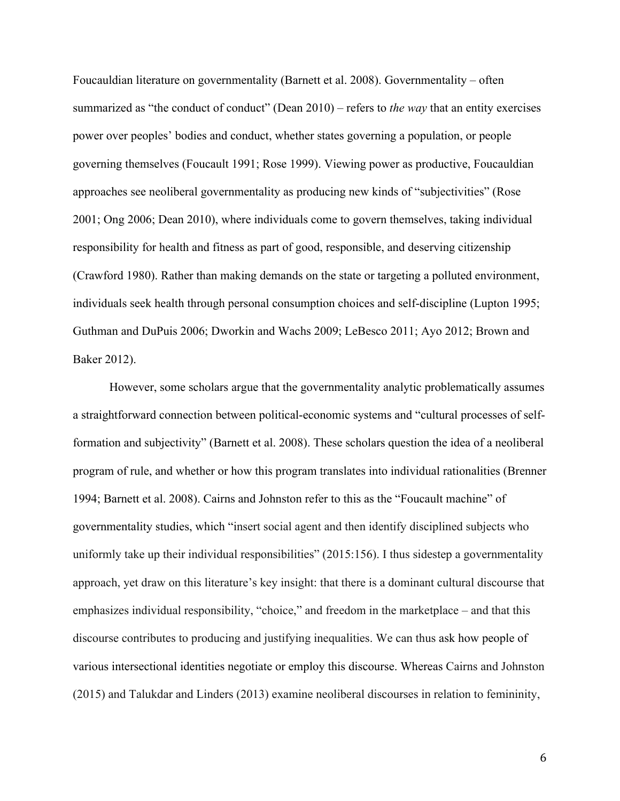Foucauldian literature on governmentality (Barnett et al. 2008). Governmentality – often summarized as "the conduct of conduct" (Dean 2010) – refers to *the way* that an entity exercises power over peoples' bodies and conduct, whether states governing a population, or people governing themselves (Foucault 1991; Rose 1999). Viewing power as productive, Foucauldian approaches see neoliberal governmentality as producing new kinds of "subjectivities" (Rose 2001; Ong 2006; Dean 2010), where individuals come to govern themselves, taking individual responsibility for health and fitness as part of good, responsible, and deserving citizenship (Crawford 1980). Rather than making demands on the state or targeting a polluted environment, individuals seek health through personal consumption choices and self-discipline (Lupton 1995; Guthman and DuPuis 2006; Dworkin and Wachs 2009; LeBesco 2011; Ayo 2012; Brown and Baker 2012).

However, some scholars argue that the governmentality analytic problematically assumes a straightforward connection between political-economic systems and "cultural processes of selfformation and subjectivity" (Barnett et al. 2008). These scholars question the idea of a neoliberal program of rule, and whether or how this program translates into individual rationalities (Brenner 1994; Barnett et al. 2008). Cairns and Johnston refer to this as the "Foucault machine" of governmentality studies, which "insert social agent and then identify disciplined subjects who uniformly take up their individual responsibilities" (2015:156). I thus sidestep a governmentality approach, yet draw on this literature's key insight: that there is a dominant cultural discourse that emphasizes individual responsibility, "choice," and freedom in the marketplace – and that this discourse contributes to producing and justifying inequalities. We can thus ask how people of various intersectional identities negotiate or employ this discourse. Whereas Cairns and Johnston (2015) and Talukdar and Linders (2013) examine neoliberal discourses in relation to femininity,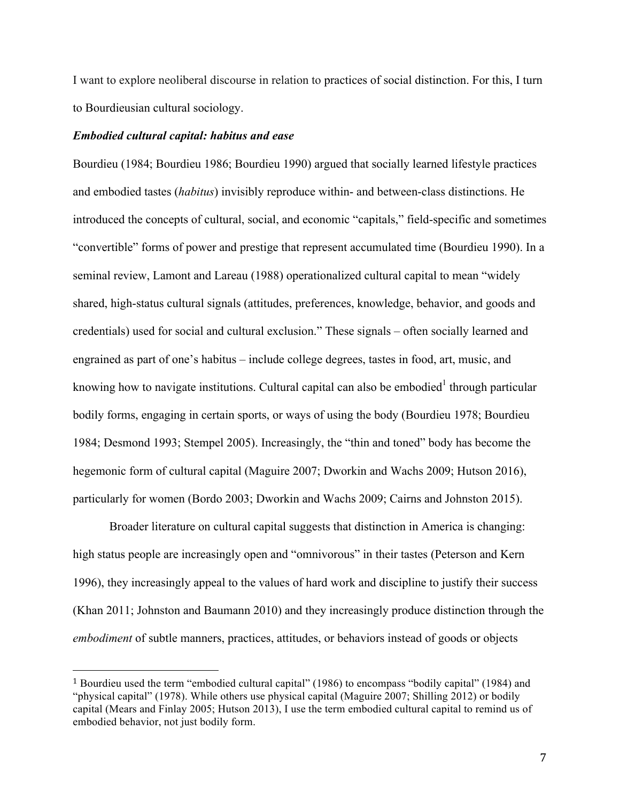I want to explore neoliberal discourse in relation to practices of social distinction. For this, I turn to Bourdieusian cultural sociology.

## *Embodied cultural capital: habitus and ease*

 

Bourdieu (1984; Bourdieu 1986; Bourdieu 1990) argued that socially learned lifestyle practices and embodied tastes (*habitus*) invisibly reproduce within- and between-class distinctions. He introduced the concepts of cultural, social, and economic "capitals," field-specific and sometimes "convertible" forms of power and prestige that represent accumulated time (Bourdieu 1990). In a seminal review, Lamont and Lareau (1988) operationalized cultural capital to mean "widely shared, high-status cultural signals (attitudes, preferences, knowledge, behavior, and goods and credentials) used for social and cultural exclusion." These signals – often socially learned and engrained as part of one's habitus – include college degrees, tastes in food, art, music, and knowing how to navigate institutions. Cultural capital can also be embodied<sup>1</sup> through particular bodily forms, engaging in certain sports, or ways of using the body (Bourdieu 1978; Bourdieu 1984; Desmond 1993; Stempel 2005). Increasingly, the "thin and toned" body has become the hegemonic form of cultural capital (Maguire 2007; Dworkin and Wachs 2009; Hutson 2016), particularly for women (Bordo 2003; Dworkin and Wachs 2009; Cairns and Johnston 2015).

Broader literature on cultural capital suggests that distinction in America is changing: high status people are increasingly open and "omnivorous" in their tastes (Peterson and Kern 1996), they increasingly appeal to the values of hard work and discipline to justify their success (Khan 2011; Johnston and Baumann 2010) and they increasingly produce distinction through the *embodiment* of subtle manners, practices, attitudes, or behaviors instead of goods or objects

<sup>1</sup> Bourdieu used the term "embodied cultural capital" (1986) to encompass "bodily capital" (1984) and "physical capital" (1978). While others use physical capital (Maguire 2007; Shilling 2012) or bodily capital (Mears and Finlay 2005; Hutson 2013), I use the term embodied cultural capital to remind us of embodied behavior, not just bodily form.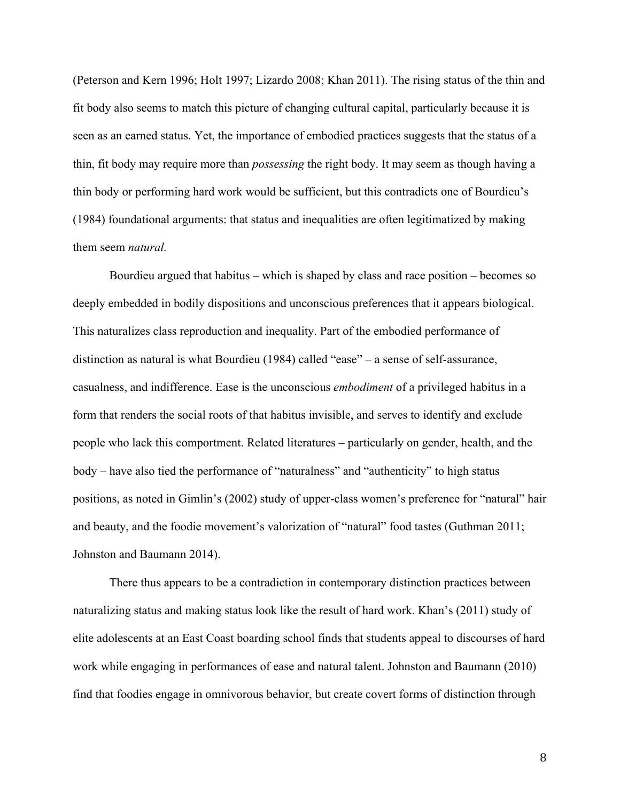(Peterson and Kern 1996; Holt 1997; Lizardo 2008; Khan 2011). The rising status of the thin and fit body also seems to match this picture of changing cultural capital, particularly because it is seen as an earned status. Yet, the importance of embodied practices suggests that the status of a thin, fit body may require more than *possessing* the right body. It may seem as though having a thin body or performing hard work would be sufficient, but this contradicts one of Bourdieu's (1984) foundational arguments: that status and inequalities are often legitimatized by making them seem *natural.*

Bourdieu argued that habitus – which is shaped by class and race position – becomes so deeply embedded in bodily dispositions and unconscious preferences that it appears biological. This naturalizes class reproduction and inequality. Part of the embodied performance of distinction as natural is what Bourdieu (1984) called "ease" – a sense of self-assurance, casualness, and indifference. Ease is the unconscious *embodiment* of a privileged habitus in a form that renders the social roots of that habitus invisible, and serves to identify and exclude people who lack this comportment. Related literatures – particularly on gender, health, and the body – have also tied the performance of "naturalness" and "authenticity" to high status positions, as noted in Gimlin's (2002) study of upper-class women's preference for "natural" hair and beauty, and the foodie movement's valorization of "natural" food tastes (Guthman 2011; Johnston and Baumann 2014).

There thus appears to be a contradiction in contemporary distinction practices between naturalizing status and making status look like the result of hard work. Khan's (2011) study of elite adolescents at an East Coast boarding school finds that students appeal to discourses of hard work while engaging in performances of ease and natural talent. Johnston and Baumann (2010) find that foodies engage in omnivorous behavior, but create covert forms of distinction through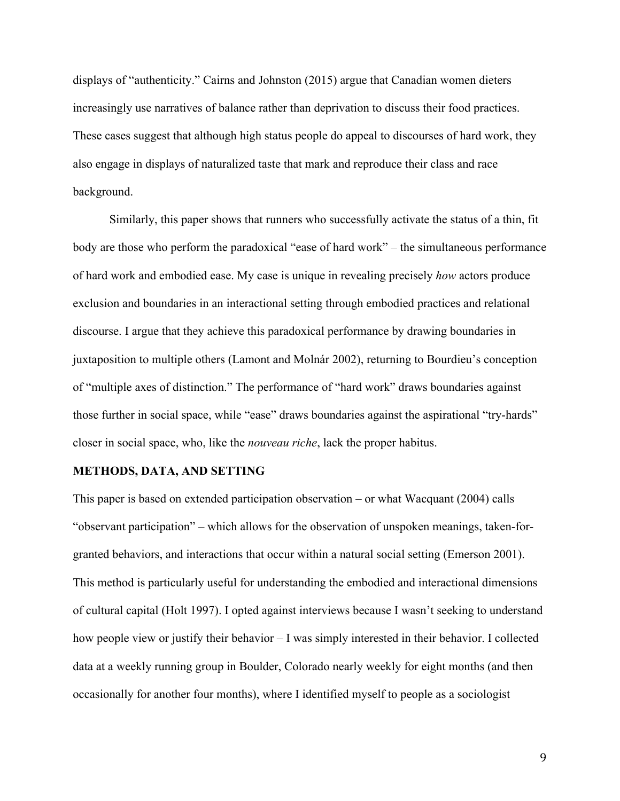displays of "authenticity." Cairns and Johnston (2015) argue that Canadian women dieters increasingly use narratives of balance rather than deprivation to discuss their food practices. These cases suggest that although high status people do appeal to discourses of hard work, they also engage in displays of naturalized taste that mark and reproduce their class and race background.

Similarly, this paper shows that runners who successfully activate the status of a thin, fit body are those who perform the paradoxical "ease of hard work" – the simultaneous performance of hard work and embodied ease. My case is unique in revealing precisely *how* actors produce exclusion and boundaries in an interactional setting through embodied practices and relational discourse. I argue that they achieve this paradoxical performance by drawing boundaries in juxtaposition to multiple others (Lamont and Molnár 2002), returning to Bourdieu's conception of "multiple axes of distinction." The performance of "hard work" draws boundaries against those further in social space, while "ease" draws boundaries against the aspirational "try-hards" closer in social space, who, like the *nouveau riche*, lack the proper habitus.

#### **METHODS, DATA, AND SETTING**

This paper is based on extended participation observation – or what Wacquant (2004) calls "observant participation" – which allows for the observation of unspoken meanings, taken-forgranted behaviors, and interactions that occur within a natural social setting (Emerson 2001). This method is particularly useful for understanding the embodied and interactional dimensions of cultural capital (Holt 1997). I opted against interviews because I wasn't seeking to understand how people view or justify their behavior – I was simply interested in their behavior. I collected data at a weekly running group in Boulder, Colorado nearly weekly for eight months (and then occasionally for another four months), where I identified myself to people as a sociologist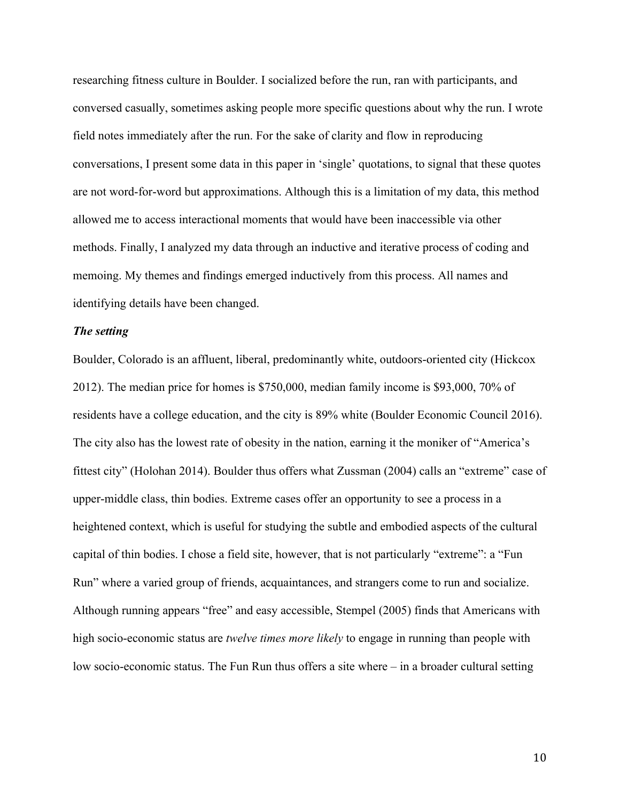researching fitness culture in Boulder. I socialized before the run, ran with participants, and conversed casually, sometimes asking people more specific questions about why the run. I wrote field notes immediately after the run. For the sake of clarity and flow in reproducing conversations, I present some data in this paper in 'single' quotations, to signal that these quotes are not word-for-word but approximations. Although this is a limitation of my data, this method allowed me to access interactional moments that would have been inaccessible via other methods. Finally, I analyzed my data through an inductive and iterative process of coding and memoing. My themes and findings emerged inductively from this process. All names and identifying details have been changed.

## *The setting*

Boulder, Colorado is an affluent, liberal, predominantly white, outdoors-oriented city (Hickcox 2012). The median price for homes is \$750,000, median family income is \$93,000, 70% of residents have a college education, and the city is 89% white (Boulder Economic Council 2016). The city also has the lowest rate of obesity in the nation, earning it the moniker of "America's fittest city" (Holohan 2014). Boulder thus offers what Zussman (2004) calls an "extreme" case of upper-middle class, thin bodies. Extreme cases offer an opportunity to see a process in a heightened context, which is useful for studying the subtle and embodied aspects of the cultural capital of thin bodies. I chose a field site, however, that is not particularly "extreme": a "Fun Run" where a varied group of friends, acquaintances, and strangers come to run and socialize. Although running appears "free" and easy accessible, Stempel (2005) finds that Americans with high socio-economic status are *twelve times more likely* to engage in running than people with low socio-economic status. The Fun Run thus offers a site where – in a broader cultural setting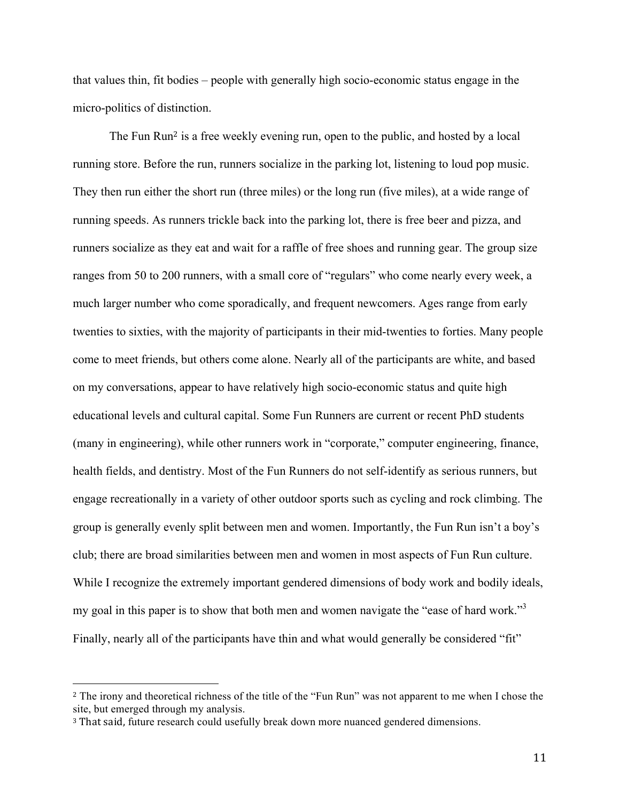that values thin, fit bodies – people with generally high socio-economic status engage in the micro-politics of distinction.

The Fun Run<sup>2</sup> is a free weekly evening run, open to the public, and hosted by a local running store. Before the run, runners socialize in the parking lot, listening to loud pop music. They then run either the short run (three miles) or the long run (five miles), at a wide range of running speeds. As runners trickle back into the parking lot, there is free beer and pizza, and runners socialize as they eat and wait for a raffle of free shoes and running gear. The group size ranges from 50 to 200 runners, with a small core of "regulars" who come nearly every week, a much larger number who come sporadically, and frequent newcomers. Ages range from early twenties to sixties, with the majority of participants in their mid-twenties to forties. Many people come to meet friends, but others come alone. Nearly all of the participants are white, and based on my conversations, appear to have relatively high socio-economic status and quite high educational levels and cultural capital. Some Fun Runners are current or recent PhD students (many in engineering), while other runners work in "corporate," computer engineering, finance, health fields, and dentistry. Most of the Fun Runners do not self-identify as serious runners, but engage recreationally in a variety of other outdoor sports such as cycling and rock climbing. The group is generally evenly split between men and women. Importantly, the Fun Run isn't a boy's club; there are broad similarities between men and women in most aspects of Fun Run culture. While I recognize the extremely important gendered dimensions of body work and bodily ideals, my goal in this paper is to show that both men and women navigate the "ease of hard work."<sup>3</sup> Finally, nearly all of the participants have thin and what would generally be considered "fit"

<sup>2</sup> The irony and theoretical richness of the title of the "Fun Run" was not apparent to me when I chose the site, but emerged through my analysis.

<sup>&</sup>lt;sup>3</sup> That said, future research could usefully break down more nuanced gendered dimensions.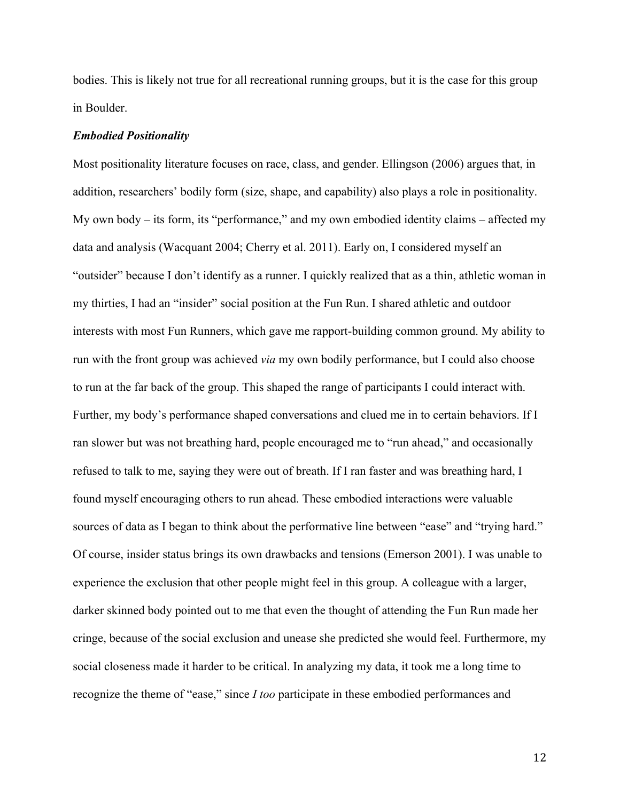bodies. This is likely not true for all recreational running groups, but it is the case for this group in Boulder.

## *Embodied Positionality*

Most positionality literature focuses on race, class, and gender. Ellingson (2006) argues that, in addition, researchers' bodily form (size, shape, and capability) also plays a role in positionality. My own body – its form, its "performance," and my own embodied identity claims – affected my data and analysis (Wacquant 2004; Cherry et al. 2011). Early on, I considered myself an "outsider" because I don't identify as a runner. I quickly realized that as a thin, athletic woman in my thirties, I had an "insider" social position at the Fun Run. I shared athletic and outdoor interests with most Fun Runners, which gave me rapport-building common ground. My ability to run with the front group was achieved *via* my own bodily performance, but I could also choose to run at the far back of the group. This shaped the range of participants I could interact with. Further, my body's performance shaped conversations and clued me in to certain behaviors. If I ran slower but was not breathing hard, people encouraged me to "run ahead," and occasionally refused to talk to me, saying they were out of breath. If I ran faster and was breathing hard, I found myself encouraging others to run ahead. These embodied interactions were valuable sources of data as I began to think about the performative line between "ease" and "trying hard." Of course, insider status brings its own drawbacks and tensions (Emerson 2001). I was unable to experience the exclusion that other people might feel in this group. A colleague with a larger, darker skinned body pointed out to me that even the thought of attending the Fun Run made her cringe, because of the social exclusion and unease she predicted she would feel. Furthermore, my social closeness made it harder to be critical. In analyzing my data, it took me a long time to recognize the theme of "ease," since *I too* participate in these embodied performances and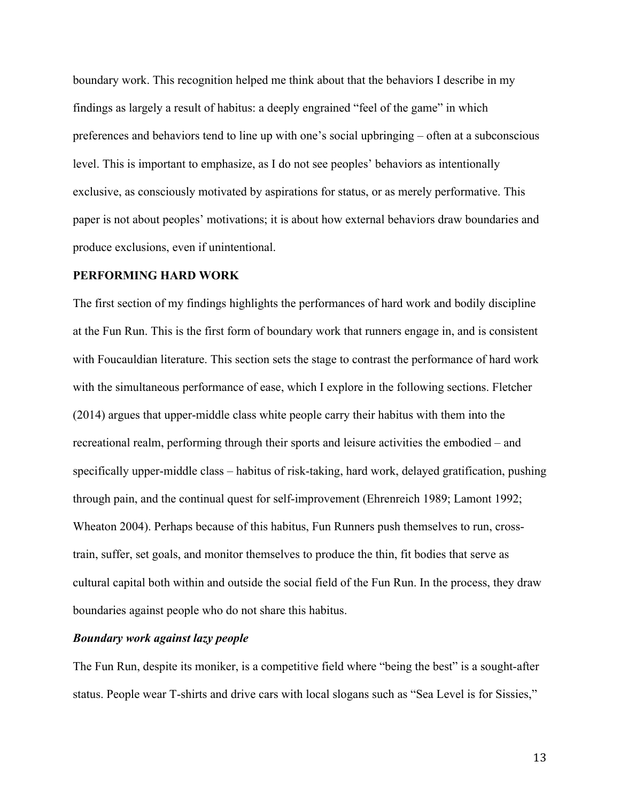boundary work. This recognition helped me think about that the behaviors I describe in my findings as largely a result of habitus: a deeply engrained "feel of the game" in which preferences and behaviors tend to line up with one's social upbringing – often at a subconscious level. This is important to emphasize, as I do not see peoples' behaviors as intentionally exclusive, as consciously motivated by aspirations for status, or as merely performative. This paper is not about peoples' motivations; it is about how external behaviors draw boundaries and produce exclusions, even if unintentional.

## **PERFORMING HARD WORK**

The first section of my findings highlights the performances of hard work and bodily discipline at the Fun Run. This is the first form of boundary work that runners engage in, and is consistent with Foucauldian literature. This section sets the stage to contrast the performance of hard work with the simultaneous performance of ease, which I explore in the following sections. Fletcher (2014) argues that upper-middle class white people carry their habitus with them into the recreational realm, performing through their sports and leisure activities the embodied – and specifically upper-middle class – habitus of risk-taking, hard work, delayed gratification, pushing through pain, and the continual quest for self-improvement (Ehrenreich 1989; Lamont 1992; Wheaton 2004). Perhaps because of this habitus, Fun Runners push themselves to run, crosstrain, suffer, set goals, and monitor themselves to produce the thin, fit bodies that serve as cultural capital both within and outside the social field of the Fun Run. In the process, they draw boundaries against people who do not share this habitus.

# *Boundary work against lazy people*

The Fun Run, despite its moniker, is a competitive field where "being the best" is a sought-after status. People wear T-shirts and drive cars with local slogans such as "Sea Level is for Sissies,"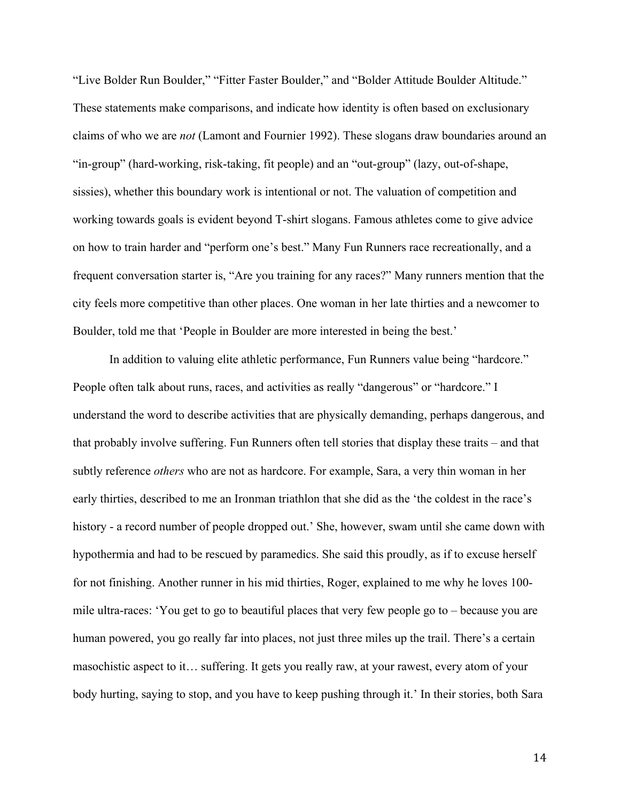"Live Bolder Run Boulder," "Fitter Faster Boulder," and "Bolder Attitude Boulder Altitude." These statements make comparisons, and indicate how identity is often based on exclusionary claims of who we are *not* (Lamont and Fournier 1992). These slogans draw boundaries around an "in-group" (hard-working, risk-taking, fit people) and an "out-group" (lazy, out-of-shape, sissies), whether this boundary work is intentional or not. The valuation of competition and working towards goals is evident beyond T-shirt slogans. Famous athletes come to give advice on how to train harder and "perform one's best." Many Fun Runners race recreationally, and a frequent conversation starter is, "Are you training for any races?" Many runners mention that the city feels more competitive than other places. One woman in her late thirties and a newcomer to Boulder, told me that 'People in Boulder are more interested in being the best.'

In addition to valuing elite athletic performance, Fun Runners value being "hardcore." People often talk about runs, races, and activities as really "dangerous" or "hardcore." I understand the word to describe activities that are physically demanding, perhaps dangerous, and that probably involve suffering. Fun Runners often tell stories that display these traits – and that subtly reference *others* who are not as hardcore. For example, Sara, a very thin woman in her early thirties, described to me an Ironman triathlon that she did as the 'the coldest in the race's history - a record number of people dropped out.' She, however, swam until she came down with hypothermia and had to be rescued by paramedics. She said this proudly, as if to excuse herself for not finishing. Another runner in his mid thirties, Roger, explained to me why he loves 100 mile ultra-races: 'You get to go to beautiful places that very few people go to – because you are human powered, you go really far into places, not just three miles up the trail. There's a certain masochistic aspect to it… suffering. It gets you really raw, at your rawest, every atom of your body hurting, saying to stop, and you have to keep pushing through it.' In their stories, both Sara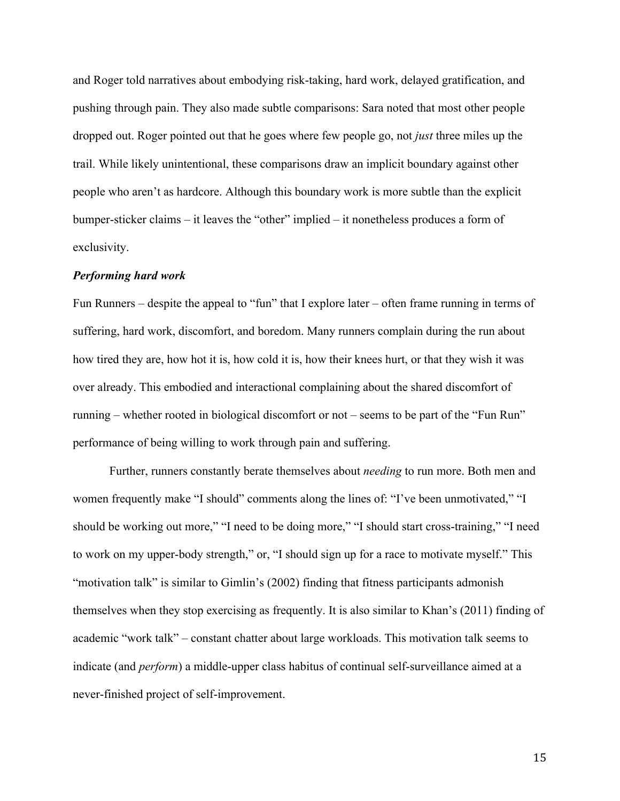and Roger told narratives about embodying risk-taking, hard work, delayed gratification, and pushing through pain. They also made subtle comparisons: Sara noted that most other people dropped out. Roger pointed out that he goes where few people go, not *just* three miles up the trail. While likely unintentional, these comparisons draw an implicit boundary against other people who aren't as hardcore. Although this boundary work is more subtle than the explicit bumper-sticker claims – it leaves the "other" implied – it nonetheless produces a form of exclusivity.

## *Performing hard work*

Fun Runners – despite the appeal to "fun" that I explore later – often frame running in terms of suffering, hard work, discomfort, and boredom. Many runners complain during the run about how tired they are, how hot it is, how cold it is, how their knees hurt, or that they wish it was over already. This embodied and interactional complaining about the shared discomfort of running – whether rooted in biological discomfort or not – seems to be part of the "Fun Run" performance of being willing to work through pain and suffering.

Further, runners constantly berate themselves about *needing* to run more. Both men and women frequently make "I should" comments along the lines of: "I've been unmotivated," "I should be working out more," "I need to be doing more," "I should start cross-training," "I need to work on my upper-body strength," or, "I should sign up for a race to motivate myself." This "motivation talk" is similar to Gimlin's (2002) finding that fitness participants admonish themselves when they stop exercising as frequently. It is also similar to Khan's (2011) finding of academic "work talk" – constant chatter about large workloads. This motivation talk seems to indicate (and *perform*) a middle-upper class habitus of continual self-surveillance aimed at a never-finished project of self-improvement.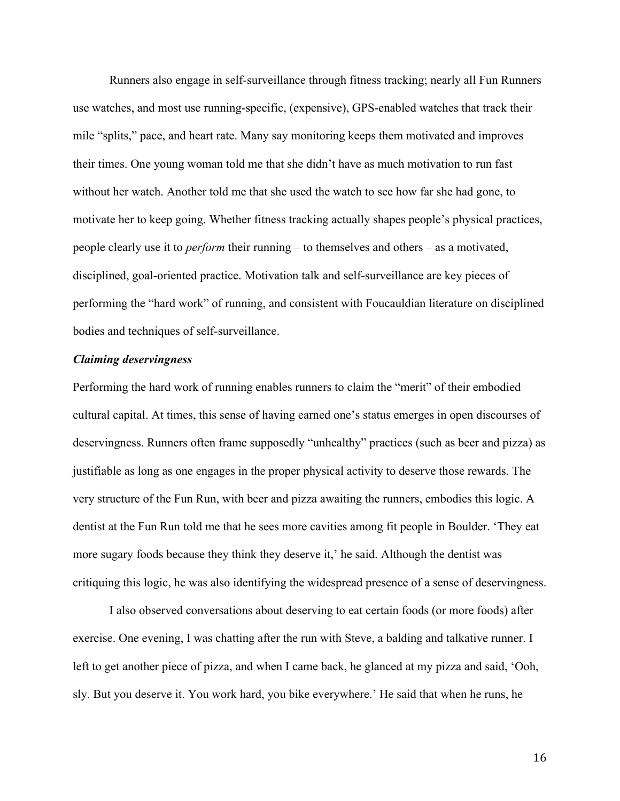Runners also engage in self-surveillance through fitness tracking; nearly all Fun Runners use watches, and most use running-specific, (expensive), GPS-enabled watches that track their mile "splits," pace, and heart rate. Many say monitoring keeps them motivated and improves their times. One young woman told me that she didn't have as much motivation to run fast without her watch. Another told me that she used the watch to see how far she had gone, to motivate her to keep going. Whether fitness tracking actually shapes people's physical practices, people clearly use it to *perform* their running – to themselves and others – as a motivated, disciplined, goal-oriented practice. Motivation talk and self-surveillance are key pieces of performing the "hard work" of running, and consistent with Foucauldian literature on disciplined bodies and techniques of self-surveillance.

## *Claiming deservingness*

Performing the hard work of running enables runners to claim the "merit" of their embodied cultural capital. At times, this sense of having earned one's status emerges in open discourses of deservingness. Runners often frame supposedly "unhealthy" practices (such as beer and pizza) as justifiable as long as one engages in the proper physical activity to deserve those rewards. The very structure of the Fun Run, with beer and pizza awaiting the runners, embodies this logic. A dentist at the Fun Run told me that he sees more cavities among fit people in Boulder. 'They eat more sugary foods because they think they deserve it,' he said. Although the dentist was critiquing this logic, he was also identifying the widespread presence of a sense of deservingness.

I also observed conversations about deserving to eat certain foods (or more foods) after exercise. One evening, I was chatting after the run with Steve, a balding and talkative runner. I left to get another piece of pizza, and when I came back, he glanced at my pizza and said, 'Ooh, sly. But you deserve it. You work hard, you bike everywhere.' He said that when he runs, he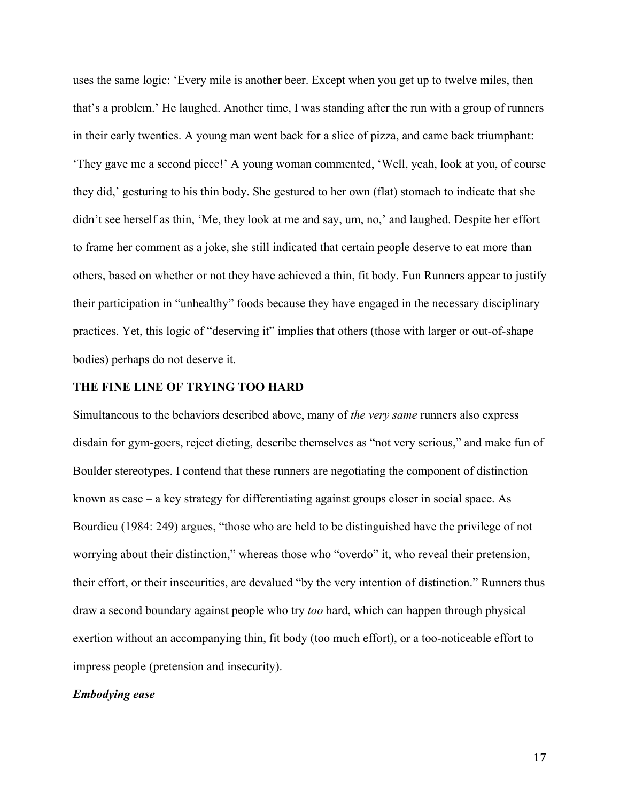uses the same logic: 'Every mile is another beer. Except when you get up to twelve miles, then that's a problem.' He laughed. Another time, I was standing after the run with a group of runners in their early twenties. A young man went back for a slice of pizza, and came back triumphant: 'They gave me a second piece!' A young woman commented, 'Well, yeah, look at you, of course they did,' gesturing to his thin body. She gestured to her own (flat) stomach to indicate that she didn't see herself as thin, 'Me, they look at me and say, um, no,' and laughed. Despite her effort to frame her comment as a joke, she still indicated that certain people deserve to eat more than others, based on whether or not they have achieved a thin, fit body. Fun Runners appear to justify their participation in "unhealthy" foods because they have engaged in the necessary disciplinary practices. Yet, this logic of "deserving it" implies that others (those with larger or out-of-shape bodies) perhaps do not deserve it.

#### **THE FINE LINE OF TRYING TOO HARD**

Simultaneous to the behaviors described above, many of *the very same* runners also express disdain for gym-goers, reject dieting, describe themselves as "not very serious," and make fun of Boulder stereotypes. I contend that these runners are negotiating the component of distinction known as ease – a key strategy for differentiating against groups closer in social space. As Bourdieu (1984: 249) argues, "those who are held to be distinguished have the privilege of not worrying about their distinction," whereas those who "overdo" it, who reveal their pretension, their effort, or their insecurities, are devalued "by the very intention of distinction." Runners thus draw a second boundary against people who try *too* hard, which can happen through physical exertion without an accompanying thin, fit body (too much effort), or a too-noticeable effort to impress people (pretension and insecurity).

#### *Embodying ease*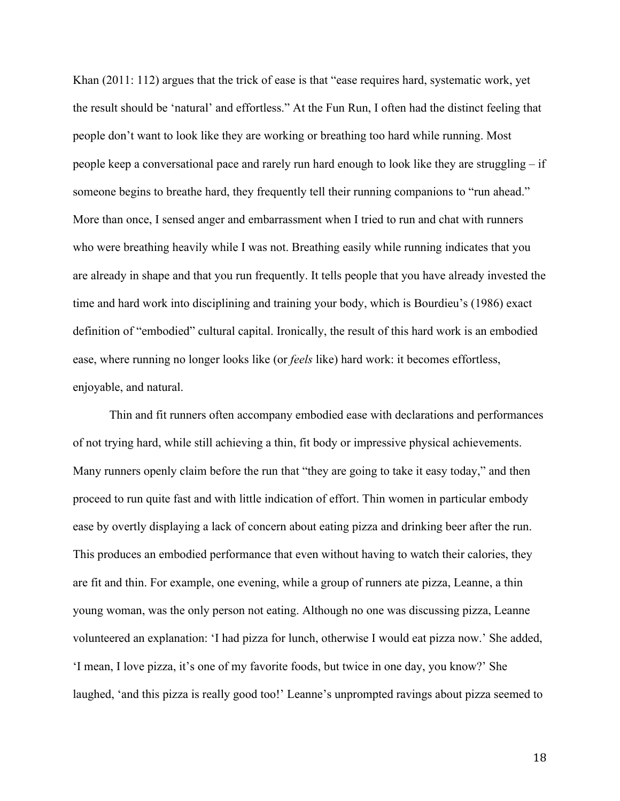Khan (2011: 112) argues that the trick of ease is that "ease requires hard, systematic work, yet the result should be 'natural' and effortless." At the Fun Run, I often had the distinct feeling that people don't want to look like they are working or breathing too hard while running. Most people keep a conversational pace and rarely run hard enough to look like they are struggling – if someone begins to breathe hard, they frequently tell their running companions to "run ahead." More than once, I sensed anger and embarrassment when I tried to run and chat with runners who were breathing heavily while I was not. Breathing easily while running indicates that you are already in shape and that you run frequently. It tells people that you have already invested the time and hard work into disciplining and training your body, which is Bourdieu's (1986) exact definition of "embodied" cultural capital. Ironically, the result of this hard work is an embodied ease, where running no longer looks like (or *feels* like) hard work: it becomes effortless, enjoyable, and natural.

Thin and fit runners often accompany embodied ease with declarations and performances of not trying hard, while still achieving a thin, fit body or impressive physical achievements. Many runners openly claim before the run that "they are going to take it easy today," and then proceed to run quite fast and with little indication of effort. Thin women in particular embody ease by overtly displaying a lack of concern about eating pizza and drinking beer after the run. This produces an embodied performance that even without having to watch their calories, they are fit and thin. For example, one evening, while a group of runners ate pizza, Leanne, a thin young woman, was the only person not eating. Although no one was discussing pizza, Leanne volunteered an explanation: 'I had pizza for lunch, otherwise I would eat pizza now.' She added, 'I mean, I love pizza, it's one of my favorite foods, but twice in one day, you know?' She laughed, 'and this pizza is really good too!' Leanne's unprompted ravings about pizza seemed to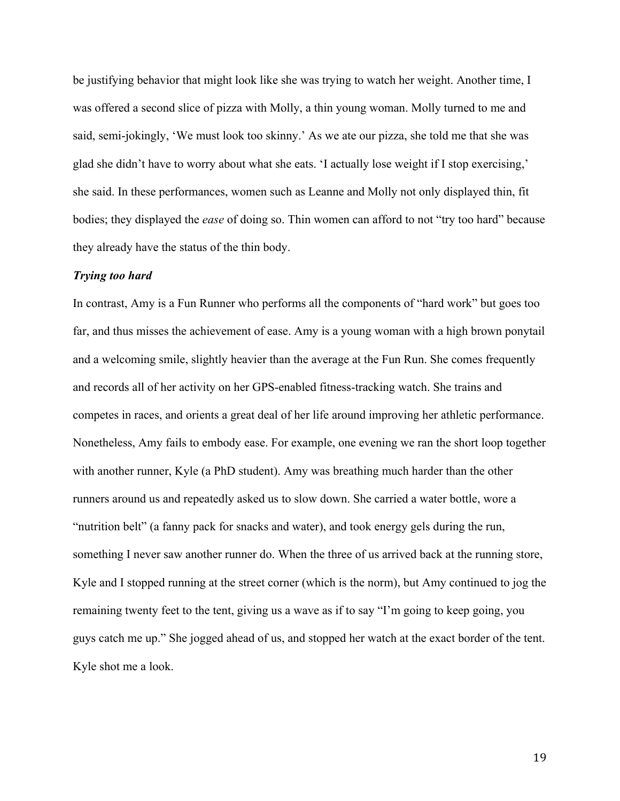be justifying behavior that might look like she was trying to watch her weight. Another time, I was offered a second slice of pizza with Molly, a thin young woman. Molly turned to me and said, semi-jokingly, 'We must look too skinny.' As we ate our pizza, she told me that she was glad she didn't have to worry about what she eats. 'I actually lose weight if I stop exercising,' she said. In these performances, women such as Leanne and Molly not only displayed thin, fit bodies; they displayed the *ease* of doing so. Thin women can afford to not "try too hard" because they already have the status of the thin body.

## *Trying too hard*

In contrast, Amy is a Fun Runner who performs all the components of "hard work" but goes too far, and thus misses the achievement of ease. Amy is a young woman with a high brown ponytail and a welcoming smile, slightly heavier than the average at the Fun Run. She comes frequently and records all of her activity on her GPS-enabled fitness-tracking watch. She trains and competes in races, and orients a great deal of her life around improving her athletic performance. Nonetheless, Amy fails to embody ease. For example, one evening we ran the short loop together with another runner, Kyle (a PhD student). Amy was breathing much harder than the other runners around us and repeatedly asked us to slow down. She carried a water bottle, wore a "nutrition belt" (a fanny pack for snacks and water), and took energy gels during the run, something I never saw another runner do. When the three of us arrived back at the running store, Kyle and I stopped running at the street corner (which is the norm), but Amy continued to jog the remaining twenty feet to the tent, giving us a wave as if to say "I'm going to keep going, you guys catch me up." She jogged ahead of us, and stopped her watch at the exact border of the tent. Kyle shot me a look.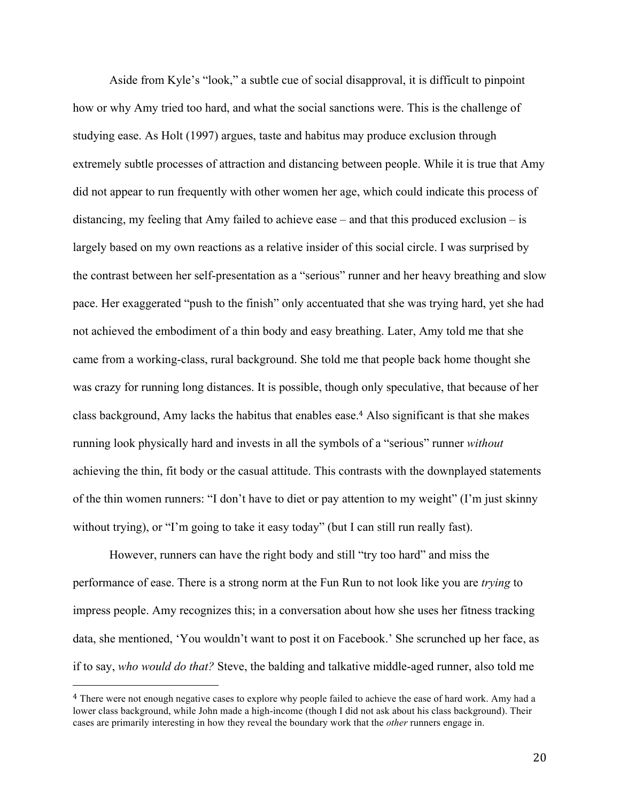Aside from Kyle's "look," a subtle cue of social disapproval, it is difficult to pinpoint how or why Amy tried too hard, and what the social sanctions were. This is the challenge of studying ease. As Holt (1997) argues, taste and habitus may produce exclusion through extremely subtle processes of attraction and distancing between people. While it is true that Amy did not appear to run frequently with other women her age, which could indicate this process of distancing, my feeling that Amy failed to achieve ease – and that this produced exclusion – is largely based on my own reactions as a relative insider of this social circle. I was surprised by the contrast between her self-presentation as a "serious" runner and her heavy breathing and slow pace. Her exaggerated "push to the finish" only accentuated that she was trying hard, yet she had not achieved the embodiment of a thin body and easy breathing. Later, Amy told me that she came from a working-class, rural background. She told me that people back home thought she was crazy for running long distances. It is possible, though only speculative, that because of her class background, Amy lacks the habitus that enables ease. <sup>4</sup> Also significant is that she makes running look physically hard and invests in all the symbols of a "serious" runner *without*  achieving the thin, fit body or the casual attitude. This contrasts with the downplayed statements of the thin women runners: "I don't have to diet or pay attention to my weight" (I'm just skinny without trying), or "I'm going to take it easy today" (but I can still run really fast).

However, runners can have the right body and still "try too hard" and miss the performance of ease. There is a strong norm at the Fun Run to not look like you are *trying* to impress people. Amy recognizes this; in a conversation about how she uses her fitness tracking data, she mentioned, 'You wouldn't want to post it on Facebook.' She scrunched up her face, as if to say, *who would do that?* Steve, the balding and talkative middle-aged runner, also told me

<sup>&</sup>lt;sup>4</sup> There were not enough negative cases to explore why people failed to achieve the ease of hard work. Amy had a lower class background, while John made a high-income (though I did not ask about his class background). Their cases are primarily interesting in how they reveal the boundary work that the *other* runners engage in.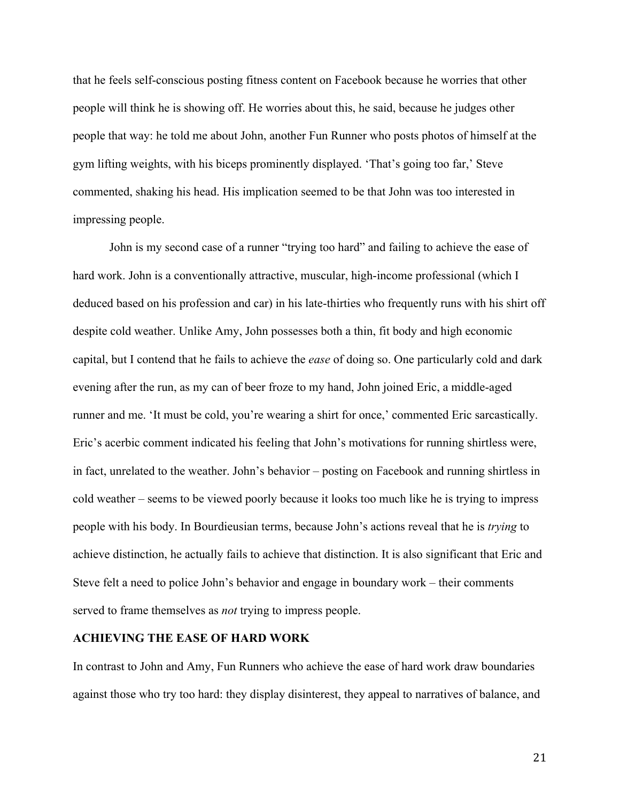that he feels self-conscious posting fitness content on Facebook because he worries that other people will think he is showing off. He worries about this, he said, because he judges other people that way: he told me about John, another Fun Runner who posts photos of himself at the gym lifting weights, with his biceps prominently displayed. 'That's going too far,' Steve commented, shaking his head. His implication seemed to be that John was too interested in impressing people.

John is my second case of a runner "trying too hard" and failing to achieve the ease of hard work. John is a conventionally attractive, muscular, high-income professional (which I deduced based on his profession and car) in his late-thirties who frequently runs with his shirt off despite cold weather. Unlike Amy, John possesses both a thin, fit body and high economic capital, but I contend that he fails to achieve the *ease* of doing so. One particularly cold and dark evening after the run, as my can of beer froze to my hand, John joined Eric, a middle-aged runner and me. 'It must be cold, you're wearing a shirt for once,' commented Eric sarcastically. Eric's acerbic comment indicated his feeling that John's motivations for running shirtless were, in fact, unrelated to the weather. John's behavior – posting on Facebook and running shirtless in cold weather – seems to be viewed poorly because it looks too much like he is trying to impress people with his body. In Bourdieusian terms, because John's actions reveal that he is *trying* to achieve distinction, he actually fails to achieve that distinction. It is also significant that Eric and Steve felt a need to police John's behavior and engage in boundary work – their comments served to frame themselves as *not* trying to impress people.

## **ACHIEVING THE EASE OF HARD WORK**

In contrast to John and Amy, Fun Runners who achieve the ease of hard work draw boundaries against those who try too hard: they display disinterest, they appeal to narratives of balance, and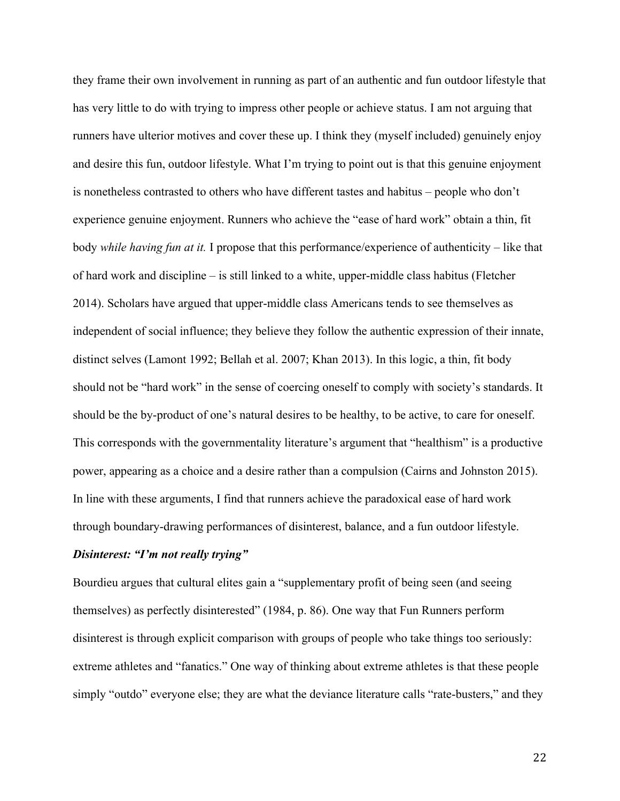they frame their own involvement in running as part of an authentic and fun outdoor lifestyle that has very little to do with trying to impress other people or achieve status. I am not arguing that runners have ulterior motives and cover these up. I think they (myself included) genuinely enjoy and desire this fun, outdoor lifestyle. What I'm trying to point out is that this genuine enjoyment is nonetheless contrasted to others who have different tastes and habitus – people who don't experience genuine enjoyment. Runners who achieve the "ease of hard work" obtain a thin, fit body *while having fun at it.* I propose that this performance/experience of authenticity – like that of hard work and discipline – is still linked to a white, upper-middle class habitus (Fletcher 2014). Scholars have argued that upper-middle class Americans tends to see themselves as independent of social influence; they believe they follow the authentic expression of their innate, distinct selves (Lamont 1992; Bellah et al. 2007; Khan 2013). In this logic, a thin, fit body should not be "hard work" in the sense of coercing oneself to comply with society's standards. It should be the by-product of one's natural desires to be healthy, to be active, to care for oneself. This corresponds with the governmentality literature's argument that "healthism" is a productive power, appearing as a choice and a desire rather than a compulsion (Cairns and Johnston 2015). In line with these arguments, I find that runners achieve the paradoxical ease of hard work through boundary-drawing performances of disinterest, balance, and a fun outdoor lifestyle.

# *Disinterest: "I'm not really trying"*

Bourdieu argues that cultural elites gain a "supplementary profit of being seen (and seeing themselves) as perfectly disinterested" (1984, p. 86). One way that Fun Runners perform disinterest is through explicit comparison with groups of people who take things too seriously: extreme athletes and "fanatics." One way of thinking about extreme athletes is that these people simply "outdo" everyone else; they are what the deviance literature calls "rate-busters," and they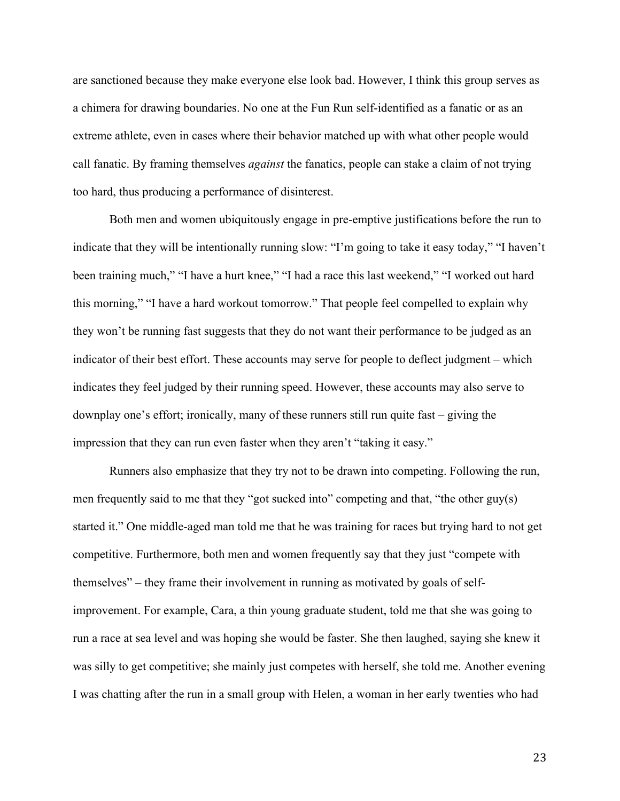are sanctioned because they make everyone else look bad. However, I think this group serves as a chimera for drawing boundaries. No one at the Fun Run self-identified as a fanatic or as an extreme athlete, even in cases where their behavior matched up with what other people would call fanatic. By framing themselves *against* the fanatics, people can stake a claim of not trying too hard, thus producing a performance of disinterest.

Both men and women ubiquitously engage in pre-emptive justifications before the run to indicate that they will be intentionally running slow: "I'm going to take it easy today," "I haven't been training much," "I have a hurt knee," "I had a race this last weekend," "I worked out hard this morning," "I have a hard workout tomorrow." That people feel compelled to explain why they won't be running fast suggests that they do not want their performance to be judged as an indicator of their best effort. These accounts may serve for people to deflect judgment – which indicates they feel judged by their running speed. However, these accounts may also serve to downplay one's effort; ironically, many of these runners still run quite fast – giving the impression that they can run even faster when they aren't "taking it easy."

Runners also emphasize that they try not to be drawn into competing. Following the run, men frequently said to me that they "got sucked into" competing and that, "the other guy(s) started it." One middle-aged man told me that he was training for races but trying hard to not get competitive. Furthermore, both men and women frequently say that they just "compete with themselves" – they frame their involvement in running as motivated by goals of selfimprovement. For example, Cara, a thin young graduate student, told me that she was going to run a race at sea level and was hoping she would be faster. She then laughed, saying she knew it was silly to get competitive; she mainly just competes with herself, she told me. Another evening I was chatting after the run in a small group with Helen, a woman in her early twenties who had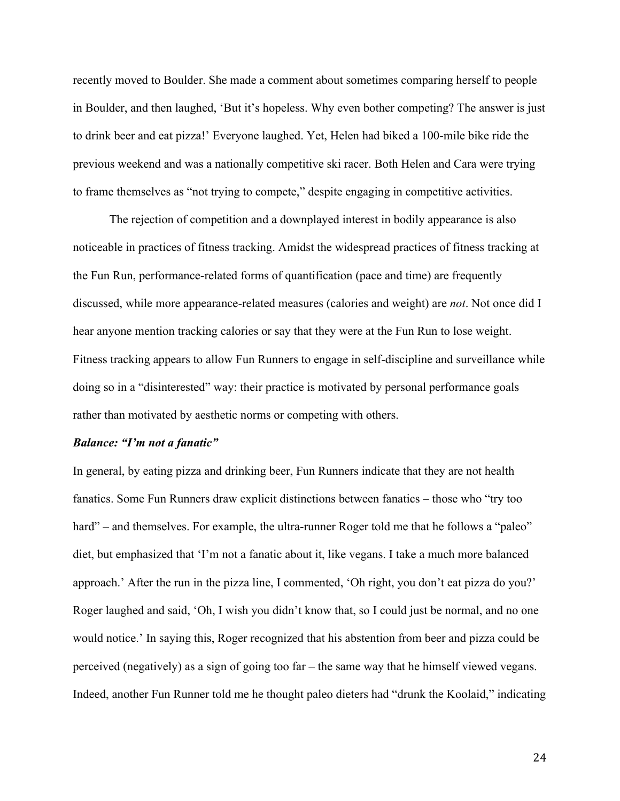recently moved to Boulder. She made a comment about sometimes comparing herself to people in Boulder, and then laughed, 'But it's hopeless. Why even bother competing? The answer is just to drink beer and eat pizza!' Everyone laughed. Yet, Helen had biked a 100-mile bike ride the previous weekend and was a nationally competitive ski racer. Both Helen and Cara were trying to frame themselves as "not trying to compete," despite engaging in competitive activities.

The rejection of competition and a downplayed interest in bodily appearance is also noticeable in practices of fitness tracking. Amidst the widespread practices of fitness tracking at the Fun Run, performance-related forms of quantification (pace and time) are frequently discussed, while more appearance-related measures (calories and weight) are *not*. Not once did I hear anyone mention tracking calories or say that they were at the Fun Run to lose weight. Fitness tracking appears to allow Fun Runners to engage in self-discipline and surveillance while doing so in a "disinterested" way: their practice is motivated by personal performance goals rather than motivated by aesthetic norms or competing with others.

#### *Balance: "I'm not a fanatic"*

In general, by eating pizza and drinking beer, Fun Runners indicate that they are not health fanatics. Some Fun Runners draw explicit distinctions between fanatics – those who "try too hard" – and themselves. For example, the ultra-runner Roger told me that he follows a "paleo" diet, but emphasized that 'I'm not a fanatic about it, like vegans. I take a much more balanced approach.' After the run in the pizza line, I commented, 'Oh right, you don't eat pizza do you?' Roger laughed and said, 'Oh, I wish you didn't know that, so I could just be normal, and no one would notice.' In saying this, Roger recognized that his abstention from beer and pizza could be perceived (negatively) as a sign of going too far – the same way that he himself viewed vegans. Indeed, another Fun Runner told me he thought paleo dieters had "drunk the Koolaid," indicating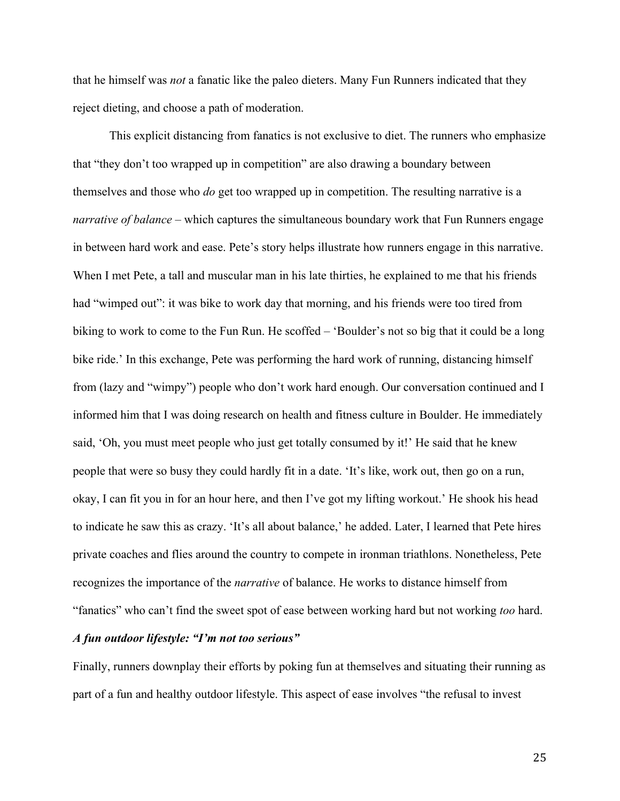that he himself was *not* a fanatic like the paleo dieters. Many Fun Runners indicated that they reject dieting, and choose a path of moderation.

This explicit distancing from fanatics is not exclusive to diet. The runners who emphasize that "they don't too wrapped up in competition" are also drawing a boundary between themselves and those who *do* get too wrapped up in competition. The resulting narrative is a *narrative of balance* – which captures the simultaneous boundary work that Fun Runners engage in between hard work and ease. Pete's story helps illustrate how runners engage in this narrative. When I met Pete, a tall and muscular man in his late thirties, he explained to me that his friends had "wimped out": it was bike to work day that morning, and his friends were too tired from biking to work to come to the Fun Run. He scoffed – 'Boulder's not so big that it could be a long bike ride.' In this exchange, Pete was performing the hard work of running, distancing himself from (lazy and "wimpy") people who don't work hard enough. Our conversation continued and I informed him that I was doing research on health and fitness culture in Boulder. He immediately said, 'Oh, you must meet people who just get totally consumed by it!' He said that he knew people that were so busy they could hardly fit in a date. 'It's like, work out, then go on a run, okay, I can fit you in for an hour here, and then I've got my lifting workout.' He shook his head to indicate he saw this as crazy. 'It's all about balance,' he added. Later, I learned that Pete hires private coaches and flies around the country to compete in ironman triathlons. Nonetheless, Pete recognizes the importance of the *narrative* of balance. He works to distance himself from "fanatics" who can't find the sweet spot of ease between working hard but not working *too* hard.

# *A fun outdoor lifestyle: "I'm not too serious"*

Finally, runners downplay their efforts by poking fun at themselves and situating their running as part of a fun and healthy outdoor lifestyle. This aspect of ease involves "the refusal to invest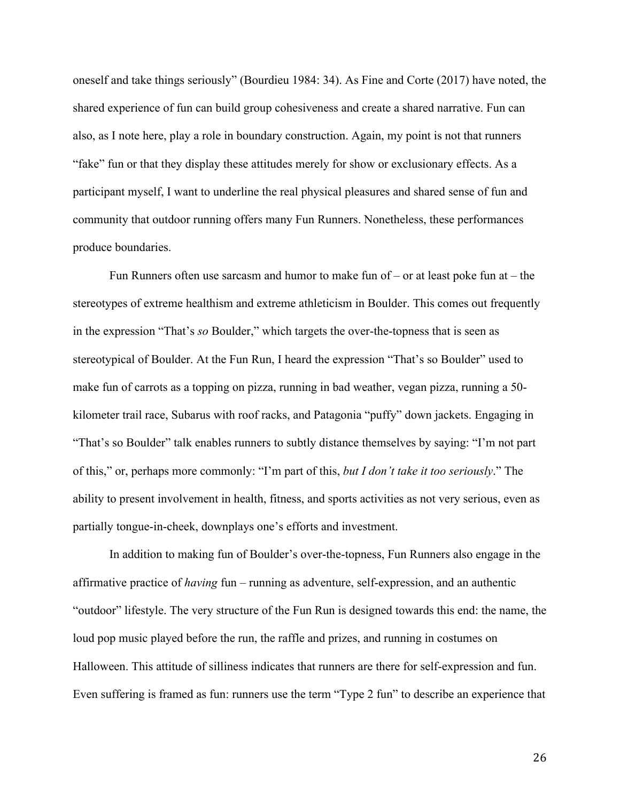oneself and take things seriously" (Bourdieu 1984: 34). As Fine and Corte (2017) have noted, the shared experience of fun can build group cohesiveness and create a shared narrative. Fun can also, as I note here, play a role in boundary construction. Again, my point is not that runners "fake" fun or that they display these attitudes merely for show or exclusionary effects. As a participant myself, I want to underline the real physical pleasures and shared sense of fun and community that outdoor running offers many Fun Runners. Nonetheless, these performances produce boundaries.

Fun Runners often use sarcasm and humor to make fun of  $-$  or at least poke fun at  $-$  the stereotypes of extreme healthism and extreme athleticism in Boulder. This comes out frequently in the expression "That's *so* Boulder," which targets the over-the-topness that is seen as stereotypical of Boulder. At the Fun Run, I heard the expression "That's so Boulder" used to make fun of carrots as a topping on pizza, running in bad weather, vegan pizza, running a 50 kilometer trail race, Subarus with roof racks, and Patagonia "puffy" down jackets. Engaging in "That's so Boulder" talk enables runners to subtly distance themselves by saying: "I'm not part of this," or, perhaps more commonly: "I'm part of this, *but I don't take it too seriously*." The ability to present involvement in health, fitness, and sports activities as not very serious, even as partially tongue-in-cheek, downplays one's efforts and investment.

In addition to making fun of Boulder's over-the-topness, Fun Runners also engage in the affirmative practice of *having* fun – running as adventure, self-expression, and an authentic "outdoor" lifestyle. The very structure of the Fun Run is designed towards this end: the name, the loud pop music played before the run, the raffle and prizes, and running in costumes on Halloween. This attitude of silliness indicates that runners are there for self-expression and fun. Even suffering is framed as fun: runners use the term "Type 2 fun" to describe an experience that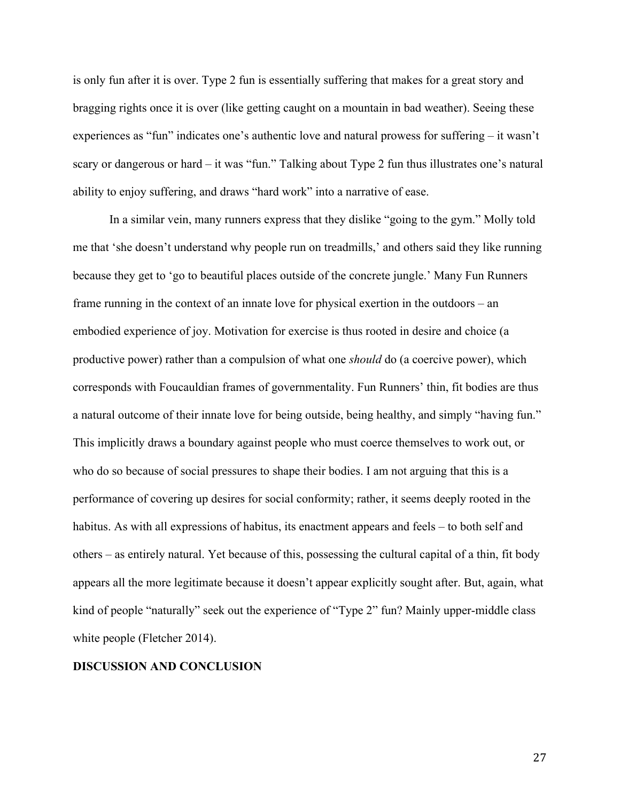is only fun after it is over. Type 2 fun is essentially suffering that makes for a great story and bragging rights once it is over (like getting caught on a mountain in bad weather). Seeing these experiences as "fun" indicates one's authentic love and natural prowess for suffering – it wasn't scary or dangerous or hard – it was "fun." Talking about Type 2 fun thus illustrates one's natural ability to enjoy suffering, and draws "hard work" into a narrative of ease.

In a similar vein, many runners express that they dislike "going to the gym." Molly told me that 'she doesn't understand why people run on treadmills,' and others said they like running because they get to 'go to beautiful places outside of the concrete jungle.' Many Fun Runners frame running in the context of an innate love for physical exertion in the outdoors – an embodied experience of joy. Motivation for exercise is thus rooted in desire and choice (a productive power) rather than a compulsion of what one *should* do (a coercive power), which corresponds with Foucauldian frames of governmentality. Fun Runners' thin, fit bodies are thus a natural outcome of their innate love for being outside, being healthy, and simply "having fun." This implicitly draws a boundary against people who must coerce themselves to work out, or who do so because of social pressures to shape their bodies. I am not arguing that this is a performance of covering up desires for social conformity; rather, it seems deeply rooted in the habitus. As with all expressions of habitus, its enactment appears and feels – to both self and others – as entirely natural. Yet because of this, possessing the cultural capital of a thin, fit body appears all the more legitimate because it doesn't appear explicitly sought after. But, again, what kind of people "naturally" seek out the experience of "Type 2" fun? Mainly upper-middle class white people (Fletcher 2014).

## **DISCUSSION AND CONCLUSION**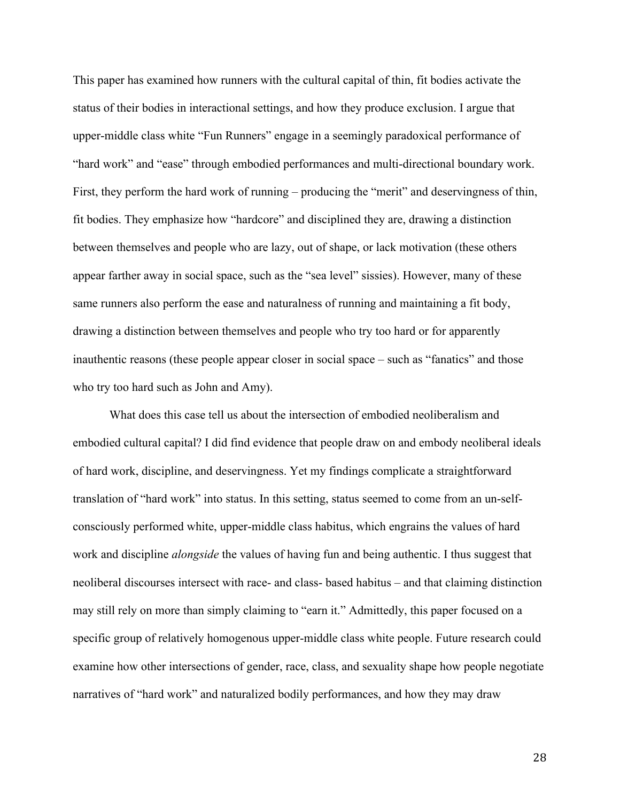This paper has examined how runners with the cultural capital of thin, fit bodies activate the status of their bodies in interactional settings, and how they produce exclusion. I argue that upper-middle class white "Fun Runners" engage in a seemingly paradoxical performance of "hard work" and "ease" through embodied performances and multi-directional boundary work. First, they perform the hard work of running – producing the "merit" and deservingness of thin, fit bodies. They emphasize how "hardcore" and disciplined they are, drawing a distinction between themselves and people who are lazy, out of shape, or lack motivation (these others appear farther away in social space, such as the "sea level" sissies). However, many of these same runners also perform the ease and naturalness of running and maintaining a fit body, drawing a distinction between themselves and people who try too hard or for apparently inauthentic reasons (these people appear closer in social space – such as "fanatics" and those who try too hard such as John and Amy).

What does this case tell us about the intersection of embodied neoliberalism and embodied cultural capital? I did find evidence that people draw on and embody neoliberal ideals of hard work, discipline, and deservingness. Yet my findings complicate a straightforward translation of "hard work" into status. In this setting, status seemed to come from an un-selfconsciously performed white, upper-middle class habitus, which engrains the values of hard work and discipline *alongside* the values of having fun and being authentic. I thus suggest that neoliberal discourses intersect with race- and class- based habitus – and that claiming distinction may still rely on more than simply claiming to "earn it." Admittedly, this paper focused on a specific group of relatively homogenous upper-middle class white people. Future research could examine how other intersections of gender, race, class, and sexuality shape how people negotiate narratives of "hard work" and naturalized bodily performances, and how they may draw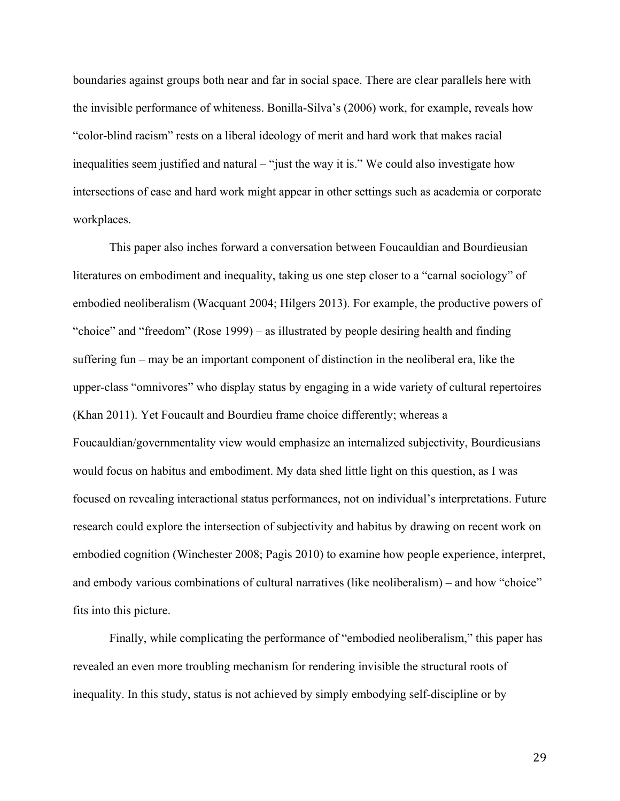boundaries against groups both near and far in social space. There are clear parallels here with the invisible performance of whiteness. Bonilla-Silva's (2006) work, for example, reveals how "color-blind racism" rests on a liberal ideology of merit and hard work that makes racial inequalities seem justified and natural – "just the way it is." We could also investigate how intersections of ease and hard work might appear in other settings such as academia or corporate workplaces.

This paper also inches forward a conversation between Foucauldian and Bourdieusian literatures on embodiment and inequality, taking us one step closer to a "carnal sociology" of embodied neoliberalism (Wacquant 2004; Hilgers 2013). For example, the productive powers of "choice" and "freedom" (Rose 1999) – as illustrated by people desiring health and finding suffering fun – may be an important component of distinction in the neoliberal era, like the upper-class "omnivores" who display status by engaging in a wide variety of cultural repertoires (Khan 2011). Yet Foucault and Bourdieu frame choice differently; whereas a Foucauldian/governmentality view would emphasize an internalized subjectivity, Bourdieusians would focus on habitus and embodiment. My data shed little light on this question, as I was focused on revealing interactional status performances, not on individual's interpretations. Future research could explore the intersection of subjectivity and habitus by drawing on recent work on embodied cognition (Winchester 2008; Pagis 2010) to examine how people experience, interpret, and embody various combinations of cultural narratives (like neoliberalism) – and how "choice" fits into this picture.

Finally, while complicating the performance of "embodied neoliberalism," this paper has revealed an even more troubling mechanism for rendering invisible the structural roots of inequality. In this study, status is not achieved by simply embodying self-discipline or by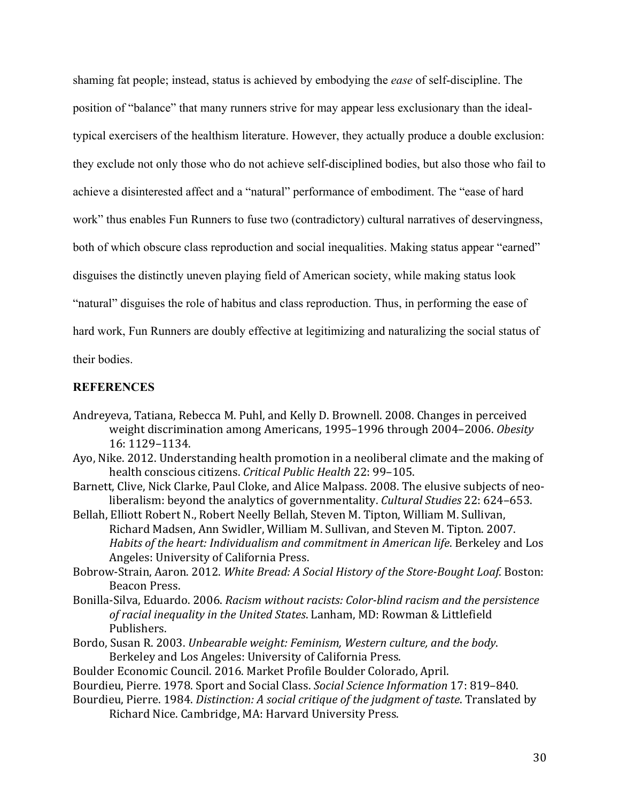shaming fat people; instead, status is achieved by embodying the *ease* of self-discipline. The position of "balance" that many runners strive for may appear less exclusionary than the idealtypical exercisers of the healthism literature. However, they actually produce a double exclusion: they exclude not only those who do not achieve self-disciplined bodies, but also those who fail to achieve a disinterested affect and a "natural" performance of embodiment. The "ease of hard work" thus enables Fun Runners to fuse two (contradictory) cultural narratives of deservingness, both of which obscure class reproduction and social inequalities. Making status appear "earned" disguises the distinctly uneven playing field of American society, while making status look "natural" disguises the role of habitus and class reproduction. Thus, in performing the ease of hard work, Fun Runners are doubly effective at legitimizing and naturalizing the social status of their bodies.

# **REFERENCES**

- Andreyeva, Tatiana, Rebecca M. Puhl, and Kelly D. Brownell. 2008. Changes in perceived weight discrimination among Americans, 1995-1996 through 2004-2006. Obesity 16: 1129–1134.
- Ayo, Nike. 2012. Understanding health promotion in a neoliberal climate and the making of health conscious citizens. *Critical Public Health* 22: 99-105.
- Barnett, Clive, Nick Clarke, Paul Cloke, and Alice Malpass. 2008. The elusive subjects of neoliberalism: beyond the analytics of governmentality. *Cultural Studies* 22: 624–653.
- Bellah, Elliott Robert N., Robert Neelly Bellah, Steven M. Tipton, William M. Sullivan, Richard Madsen, Ann Swidler, William M. Sullivan, and Steven M. Tipton. 2007. Habits of the heart: Individualism and commitment in American life. Berkeley and Los Angeles: University of California Press.
- Bobrow-Strain, Aaron. 2012. White Bread: A Social History of the Store-Bought Loaf. Boston: Beacon Press.
- Bonilla-Silva, Eduardo. 2006. *Racism without racists: Color-blind racism and the persistence* of racial inequality in the United States. Lanham, MD: Rowman & Littlefield Publishers.
- Bordo, Susan R. 2003. *Unbearable weight: Feminism, Western culture, and the body.* Berkeley and Los Angeles: University of California Press.
- Boulder Economic Council. 2016. Market Profile Boulder Colorado, April.
- Bourdieu, Pierre. 1978. Sport and Social Class. *Social Science Information* 17: 819-840.
- Bourdieu, Pierre. 1984. *Distinction: A social critique of the judgment of taste*. Translated by Richard Nice. Cambridge, MA: Harvard University Press.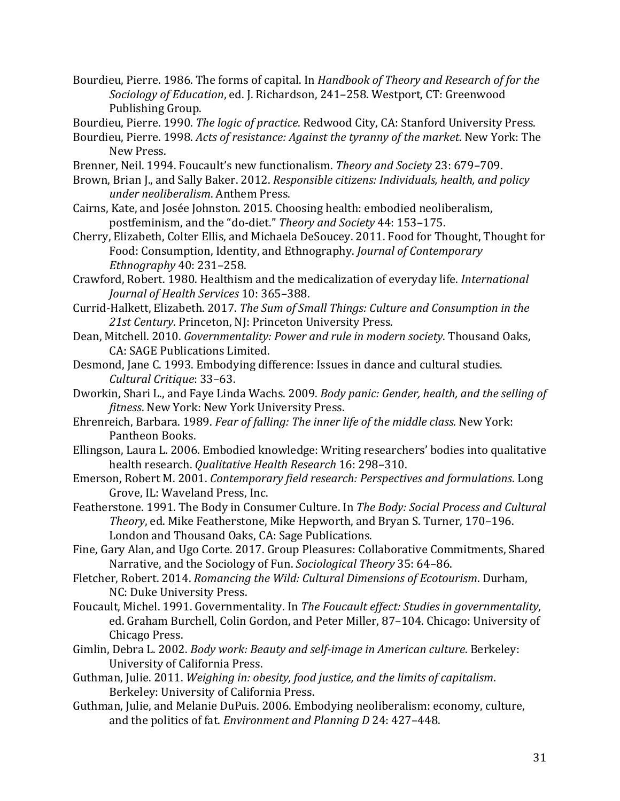Bourdieu, Pierre. 1986. The forms of capital. In *Handbook of Theory and Research of for the* Sociology of Education, ed. J. Richardson, 241-258. Westport, CT: Greenwood Publishing Group.

Bourdieu, Pierre. 1990. *The logic of practice*. Redwood City, CA: Stanford University Press.

Bourdieu, Pierre. 1998. *Acts of resistance: Against the tyranny of the market*. New York: The New Press.

- Brenner, Neil. 1994. Foucault's new functionalism. *Theory and Society* 23: 679–709.
- Brown, Brian J., and Sally Baker. 2012. *Responsible citizens: Individuals, health, and policy under neoliberalism*. Anthem Press.
- Cairns, Kate, and Josée Johnston. 2015. Choosing health: embodied neoliberalism, postfeminism, and the "do-diet." Theory and Society 44: 153-175.
- Cherry, Elizabeth, Colter Ellis, and Michaela DeSoucey. 2011. Food for Thought, Thought for Food: Consumption, Identity, and Ethnography. *Journal of Contemporary Ethnography* 40: 231–258.
- Crawford. Robert. 1980. Healthism and the medicalization of everyday life. *International Journal of Health Services* 10: 365–388.
- Currid-Halkett, Elizabeth. 2017. *The Sum of Small Things: Culture and Consumption in the* 21st Century. Princeton, NJ: Princeton University Press.
- Dean, Mitchell. 2010. *Governmentality: Power and rule in modern society*. Thousand Oaks, CA: SAGE Publications Limited.
- Desmond, Jane C. 1993. Embodying difference: Issues in dance and cultural studies. *Cultural Critique*: 33–63.
- Dworkin, Shari L., and Faye Linda Wachs. 2009. *Body panic: Gender, health, and the selling of fitness*. New York: New York University Press.
- Ehrenreich, Barbara. 1989. *Fear of falling: The inner life of the middle class*. New York: Pantheon Books.
- Ellingson, Laura L. 2006. Embodied knowledge: Writing researchers' bodies into qualitative health research. *Qualitative Health Research* 16: 298-310.
- Emerson, Robert M. 2001. *Contemporary field research: Perspectives and formulations*. Long Grove, IL: Waveland Press, Inc.
- Featherstone. 1991. The Body in Consumer Culture. In *The Body: Social Process and Cultural Theory*, ed. Mike Featherstone, Mike Hepworth, and Bryan S. Turner, 170-196. London and Thousand Oaks, CA: Sage Publications.
- Fine, Gary Alan, and Ugo Corte. 2017. Group Pleasures: Collaborative Commitments, Shared Narrative, and the Sociology of Fun. *Sociological Theory* 35: 64–86.
- Fletcher, Robert. 2014. *Romancing the Wild: Cultural Dimensions of Ecotourism*. Durham, NC: Duke University Press.
- Foucault, Michel. 1991. Governmentality. In *The Foucault effect: Studies in governmentality*, ed. Graham Burchell, Colin Gordon, and Peter Miller, 87-104. Chicago: University of Chicago Press.
- Gimlin, Debra L. 2002. *Body work: Beauty and self-image in American culture*. Berkeley: University of California Press.
- Guthman, Julie. 2011. *Weighing in: obesity, food justice, and the limits of capitalism.* Berkeley: University of California Press.
- Guthman, Julie, and Melanie DuPuis. 2006. Embodying neoliberalism: economy, culture, and the politics of fat. *Environment and Planning D* 24: 427-448.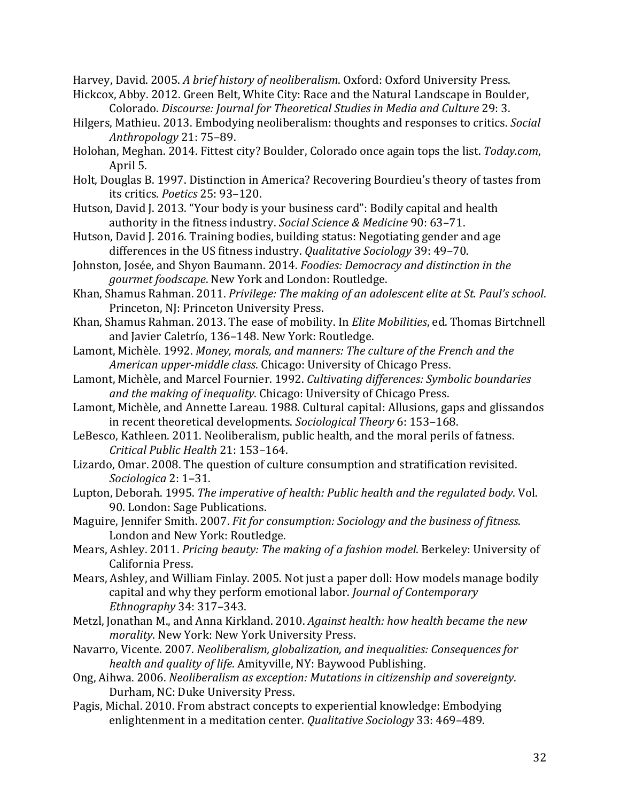Harvey, David. 2005. A brief history of neoliberalism. Oxford: Oxford University Press.

- Hickcox, Abby. 2012. Green Belt, White City: Race and the Natural Landscape in Boulder, Colorado. *Discourse: Journal for Theoretical Studies in Media and Culture* 29: 3.
- Hilgers, Mathieu. 2013. Embodying neoliberalism: thoughts and responses to critics. *Social Anthropology* 21: 75–89.
- Holohan, Meghan. 2014. Fittest city? Boulder, Colorado once again tops the list. *Today.com*, April 5.
- Holt, Douglas B. 1997. Distinction in America? Recovering Bourdieu's theory of tastes from its critics. *Poetics* 25: 93–120.
- Hutson, David J. 2013. "Your body is your business card": Bodily capital and health authority in the fitness industry. *Social Science & Medicine* 90: 63-71.
- Hutson, David J. 2016. Training bodies, building status: Negotiating gender and age differences in the US fitness industry. *Qualitative Sociology* 39: 49–70.
- Johnston, Josée, and Shyon Baumann. 2014. *Foodies: Democracy and distinction in the gourmet foodscape*. New York and London: Routledge.
- Khan, Shamus Rahman. 2011. *Privilege: The making of an adolescent elite at St. Paul's school.* Princeton, NJ: Princeton University Press.
- Khan, Shamus Rahman. 2013. The ease of mobility. In *Elite Mobilities*, ed. Thomas Birtchnell and Javier Caletrío, 136-148. New York: Routledge.
- Lamont, Michèle. 1992. Money, morals, and manners: The culture of the French and the *American upper-middle class.* Chicago: University of Chicago Press.
- Lamont. Michèle, and Marcel Fournier. 1992. *Cultivating differences: Symbolic boundaries and the making of inequality.* Chicago: University of Chicago Press.
- Lamont, Michèle, and Annette Lareau. 1988. Cultural capital: Allusions, gaps and glissandos in recent theoretical developments. *Sociological Theory* 6: 153-168.
- LeBesco, Kathleen. 2011. Neoliberalism, public health, and the moral perils of fatness. *Critical Public Health* 21: 153–164.
- Lizardo, Omar. 2008. The question of culture consumption and stratification revisited. *Sociologica* 2: 1–31.
- Lupton, Deborah. 1995. *The imperative of health: Public health and the regulated body*. Vol. 90. London: Sage Publications.
- Maguire, Jennifer Smith. 2007. *Fit for consumption: Sociology and the business of fitness.* London and New York: Routledge.
- Mears, Ashley. 2011. *Pricing beauty: The making of a fashion model*. Berkeley: University of California Press.
- Mears, Ashley, and William Finlay. 2005. Not just a paper doll: How models manage bodily capital and why they perform emotional labor. *Journal of Contemporary Ethnography* 34: 317–343.
- Metzl, Jonathan M., and Anna Kirkland. 2010. *Against health: how health became the new morality*. New York: New York University Press.
- Navarro, Vicente. 2007. *Neoliberalism, globalization, and inequalities: Consequences for health and quality of life.* Amityville, NY: Baywood Publishing.
- Ong, Aihwa. 2006. *Neoliberalism as exception: Mutations in citizenship and sovereignty.* Durham, NC: Duke University Press.
- Pagis, Michal. 2010. From abstract concepts to experiential knowledge: Embodying enlightenment in a meditation center. *Qualitative Sociology* 33: 469-489.